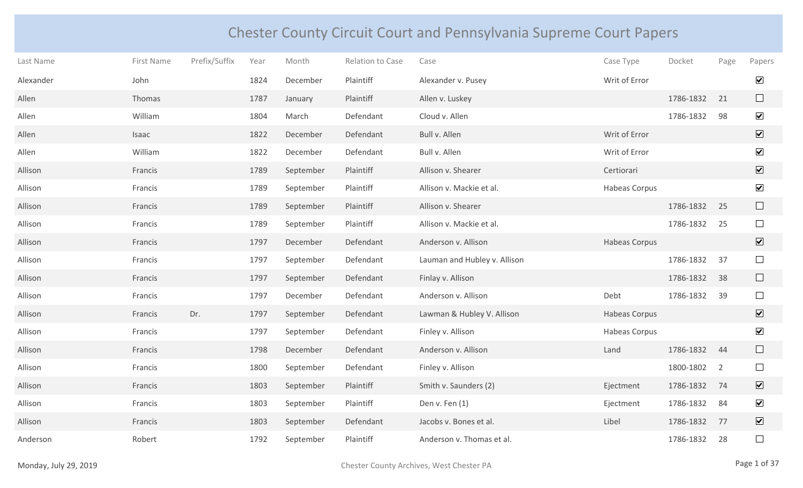## Chester County Circuit Court and Pennsylvania Supreme Court Papers

| Last Name | First Name | Prefix/Suffix | Year | Month     | Relation to Case | Case                         | Case Type     | Docket    | Page           | Papers                       |
|-----------|------------|---------------|------|-----------|------------------|------------------------------|---------------|-----------|----------------|------------------------------|
| Alexander | John       |               | 1824 | December  | Plaintiff        | Alexander v. Pusey           | Writ of Error |           |                | $\boxed{\blacktriangledown}$ |
| Allen     | Thomas     |               | 1787 | January   | Plaintiff        | Allen v. Luskey              |               | 1786-1832 | 21             | $\Box$                       |
| Allen     | William    |               | 1804 | March     | Defendant        | Cloud v. Allen               |               | 1786-1832 | 98             | $\blacktriangledown$         |
| Allen     | Isaac      |               | 1822 | December  | Defendant        | Bull v. Allen                | Writ of Error |           |                | $\overline{\mathbf{v}}$      |
| Allen     | William    |               | 1822 | December  | Defendant        | Bull v. Allen                | Writ of Error |           |                | $\overline{\mathbf{v}}$      |
| Allison   | Francis    |               | 1789 | September | Plaintiff        | Allison v. Shearer           | Certiorari    |           |                | $\boxed{\blacktriangledown}$ |
| Allison   | Francis    |               | 1789 | September | Plaintiff        | Allison v. Mackie et al.     | Habeas Corpus |           |                | $\blacktriangledown$         |
| Allison   | Francis    |               | 1789 | September | Plaintiff        | Allison v. Shearer           |               | 1786-1832 | 25             | $\Box$                       |
| Allison   | Francis    |               | 1789 | September | Plaintiff        | Allison v. Mackie et al.     |               | 1786-1832 | 25             | $\Box$                       |
| Allison   | Francis    |               | 1797 | December  | Defendant        | Anderson v. Allison          | Habeas Corpus |           |                | $\overline{\mathbf{v}}$      |
| Allison   | Francis    |               | 1797 | September | Defendant        | Lauman and Hubley v. Allison |               | 1786-1832 | 37             | $\Box$                       |
| Allison   | Francis    |               | 1797 | September | Defendant        | Finlay v. Allison            |               | 1786-1832 | 38             | $\Box$                       |
| Allison   | Francis    |               | 1797 | December  | Defendant        | Anderson v. Allison          | Debt          | 1786-1832 | 39             | $\Box$                       |
| Allison   | Francis    | Dr.           | 1797 | September | Defendant        | Lawman & Hubley V. Allison   | Habeas Corpus |           |                | $\overline{\mathbf{v}}$      |
| Allison   | Francis    |               | 1797 | September | Defendant        | Finley v. Allison            | Habeas Corpus |           |                | $\blacktriangledown$         |
| Allison   | Francis    |               | 1798 | December  | Defendant        | Anderson v. Allison          | Land          | 1786-1832 | 44             | $\Box$                       |
| Allison   | Francis    |               | 1800 | September | Defendant        | Finley v. Allison            |               | 1800-1802 | $\overline{2}$ | $\Box$                       |
| Allison   | Francis    |               | 1803 | September | Plaintiff        | Smith v. Saunders (2)        | Ejectment     | 1786-1832 | 74             | $\overline{\mathbf{v}}$      |
| Allison   | Francis    |               | 1803 | September | Plaintiff        | Den v. Fen (1)               | Ejectment     | 1786-1832 | 84             | $\blacktriangledown$         |
| Allison   | Francis    |               | 1803 | September | Defendant        | Jacobs v. Bones et al.       | Libel         | 1786-1832 | 77             | $\overline{\mathbf{v}}$      |
| Anderson  | Robert     |               | 1792 | September | Plaintiff        | Anderson v. Thomas et al.    |               | 1786-1832 | 28             |                              |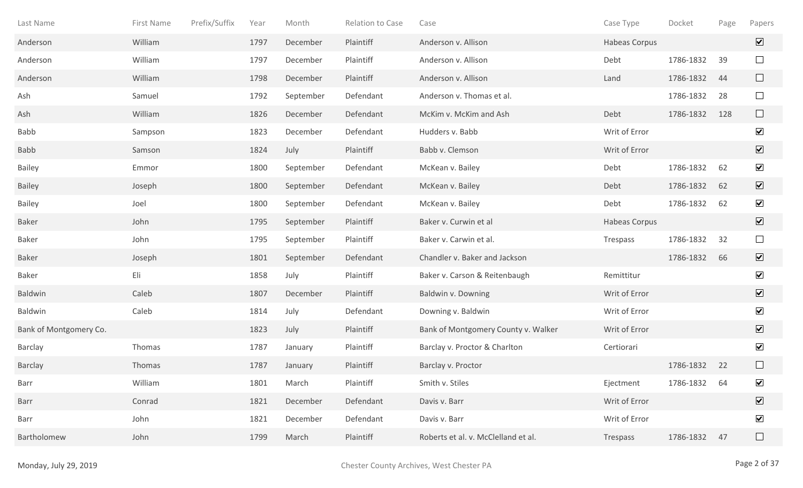| Last Name              | First Name | Prefix/Suffix | Year | Month     | Relation to Case | Case                                | Case Type            | Docket    | Page | Papers                  |
|------------------------|------------|---------------|------|-----------|------------------|-------------------------------------|----------------------|-----------|------|-------------------------|
| Anderson               | William    |               | 1797 | December  | Plaintiff        | Anderson v. Allison                 | Habeas Corpus        |           |      | $\overline{\mathbf{v}}$ |
| Anderson               | William    |               | 1797 | December  | Plaintiff        | Anderson v. Allison                 | Debt                 | 1786-1832 | 39   | $\Box$                  |
| Anderson               | William    |               | 1798 | December  | Plaintiff        | Anderson v. Allison                 | Land                 | 1786-1832 | 44   | $\Box$                  |
| Ash                    | Samuel     |               | 1792 | September | Defendant        | Anderson v. Thomas et al.           |                      | 1786-1832 | 28   | $\Box$                  |
| Ash                    | William    |               | 1826 | December  | Defendant        | McKim v. McKim and Ash              | Debt                 | 1786-1832 | 128  | $\Box$                  |
| Babb                   | Sampson    |               | 1823 | December  | Defendant        | Hudders v. Babb                     | Writ of Error        |           |      | $\blacktriangledown$    |
| Babb                   | Samson     |               | 1824 | July      | Plaintiff        | Babb v. Clemson                     | Writ of Error        |           |      | $\overline{\mathbf{v}}$ |
| <b>Bailey</b>          | Emmor      |               | 1800 | September | Defendant        | McKean v. Bailey                    | Debt                 | 1786-1832 | 62   | $\blacktriangledown$    |
| <b>Bailey</b>          | Joseph     |               | 1800 | September | Defendant        | McKean v. Bailey                    | Debt                 | 1786-1832 | 62   | $\overline{\mathbf{v}}$ |
| <b>Bailey</b>          | Joel       |               | 1800 | September | Defendant        | McKean v. Bailey                    | Debt                 | 1786-1832 | 62   | $\blacktriangledown$    |
| <b>Baker</b>           | John       |               | 1795 | September | Plaintiff        | Baker v. Curwin et al               | <b>Habeas Corpus</b> |           |      | $\overline{\mathbf{v}}$ |
| Baker                  | John       |               | 1795 | September | Plaintiff        | Baker v. Carwin et al.              | Trespass             | 1786-1832 | 32   | $\Box$                  |
| Baker                  | Joseph     |               | 1801 | September | Defendant        | Chandler v. Baker and Jackson       |                      | 1786-1832 | 66   | $\overline{\mathbf{v}}$ |
| Baker                  | Eli        |               | 1858 | July      | Plaintiff        | Baker v. Carson & Reitenbaugh       | Remittitur           |           |      | $\overline{\mathbf{v}}$ |
| Baldwin                | Caleb      |               | 1807 | December  | Plaintiff        | Baldwin v. Downing                  | Writ of Error        |           |      | $\overline{\mathbf{v}}$ |
| Baldwin                | Caleb      |               | 1814 | July      | Defendant        | Downing v. Baldwin                  | Writ of Error        |           |      | $\blacktriangledown$    |
| Bank of Montgomery Co. |            |               | 1823 | July      | Plaintiff        | Bank of Montgomery County v. Walker | Writ of Error        |           |      | $\overline{\mathbf{v}}$ |
| <b>Barclay</b>         | Thomas     |               | 1787 | January   | Plaintiff        | Barclay v. Proctor & Charlton       | Certiorari           |           |      | $\blacktriangledown$    |
| Barclay                | Thomas     |               | 1787 | January   | Plaintiff        | Barclay v. Proctor                  |                      | 1786-1832 | 22   | $\Box$                  |
| Barr                   | William    |               | 1801 | March     | Plaintiff        | Smith v. Stiles                     | Ejectment            | 1786-1832 | 64   | $\blacktriangledown$    |
| Barr                   | Conrad     |               | 1821 | December  | Defendant        | Davis v. Barr                       | Writ of Error        |           |      | $\boxed{\mathbf{v}}$    |
| Barr                   | John       |               | 1821 | December  | Defendant        | Davis v. Barr                       | Writ of Error        |           |      | $\blacktriangledown$    |
| Bartholomew            | John       |               | 1799 | March     | Plaintiff        | Roberts et al. v. McClelland et al. | Trespass             | 1786-1832 | 47   | $\Box$                  |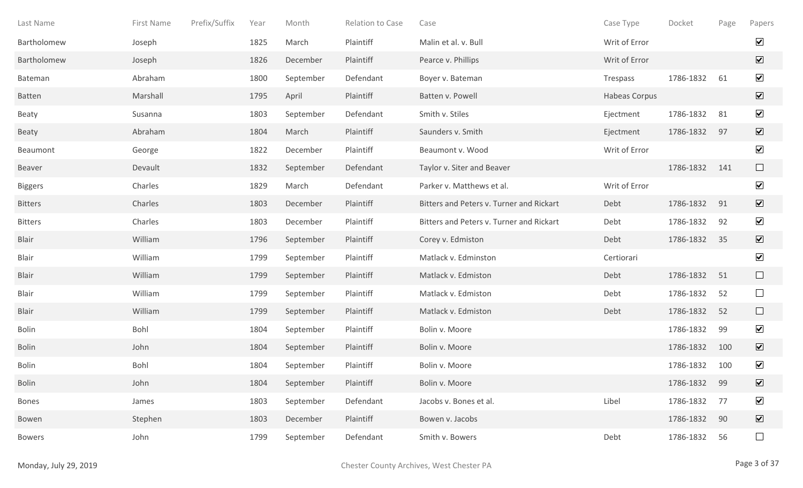| Last Name      | First Name | Prefix/Suffix | Year | Month     | Relation to Case | Case                                     | Case Type     | Docket       | Page | Papers                       |
|----------------|------------|---------------|------|-----------|------------------|------------------------------------------|---------------|--------------|------|------------------------------|
| Bartholomew    | Joseph     |               | 1825 | March     | Plaintiff        | Malin et al. v. Bull                     | Writ of Error |              |      | $\blacktriangledown$         |
| Bartholomew    | Joseph     |               | 1826 | December  | Plaintiff        | Pearce v. Phillips                       | Writ of Error |              |      | $\overline{\mathbf{v}}$      |
| Bateman        | Abraham    |               | 1800 | September | Defendant        | Boyer v. Bateman                         | Trespass      | 1786-1832    | 61   | $\blacktriangledown$         |
| <b>Batten</b>  | Marshall   |               | 1795 | April     | Plaintiff        | Batten v. Powell                         | Habeas Corpus |              |      | $\overline{\mathbf{v}}$      |
| Beaty          | Susanna    |               | 1803 | September | Defendant        | Smith v. Stiles                          | Ejectment     | 1786-1832    | 81   | $\blacktriangledown$         |
| Beaty          | Abraham    |               | 1804 | March     | Plaintiff        | Saunders v. Smith                        | Ejectment     | 1786-1832    | 97   | $\overline{\mathbf{v}}$      |
| Beaumont       | George     |               | 1822 | December  | Plaintiff        | Beaumont v. Wood                         | Writ of Error |              |      | $\blacktriangledown$         |
| Beaver         | Devault    |               | 1832 | September | Defendant        | Taylor v. Siter and Beaver               |               | 1786-1832    | 141  | $\Box$                       |
| <b>Biggers</b> | Charles    |               | 1829 | March     | Defendant        | Parker v. Matthews et al.                | Writ of Error |              |      | $\blacktriangledown$         |
| <b>Bitters</b> | Charles    |               | 1803 | December  | Plaintiff        | Bitters and Peters v. Turner and Rickart | Debt          | 1786-1832    | 91   | $\overline{\mathbf{v}}$      |
| <b>Bitters</b> | Charles    |               | 1803 | December  | Plaintiff        | Bitters and Peters v. Turner and Rickart | Debt          | 1786-1832    | 92   | $\blacktriangledown$         |
| <b>Blair</b>   | William    |               | 1796 | September | Plaintiff        | Corey v. Edmiston                        | Debt          | 1786-1832    | 35   | $\blacktriangledown$         |
| Blair          | William    |               | 1799 | September | Plaintiff        | Matlack v. Edminston                     | Certiorari    |              |      | $\blacktriangledown$         |
| <b>Blair</b>   | William    |               | 1799 | September | Plaintiff        | Matlack v. Edmiston                      | Debt          | 1786-1832    | 51   | $\Box$                       |
| Blair          | William    |               | 1799 | September | Plaintiff        | Matlack v. Edmiston                      | Debt          | 1786-1832    | 52   | $\Box$                       |
| <b>Blair</b>   | William    |               | 1799 | September | Plaintiff        | Matlack v. Edmiston                      | Debt          | 1786-1832    | 52   | $\Box$                       |
| <b>Bolin</b>   | Bohl       |               | 1804 | September | Plaintiff        | Bolin v. Moore                           |               | 1786-1832    | 99   | $\blacktriangledown$         |
| <b>Bolin</b>   | John       |               | 1804 | September | Plaintiff        | Bolin v. Moore                           |               | 1786-1832    | 100  | $\overline{\mathbf{v}}$      |
| <b>Bolin</b>   | Bohl       |               | 1804 | September | Plaintiff        | Bolin v. Moore                           |               | 1786-1832    | 100  | $\blacktriangledown$         |
| <b>Bolin</b>   | John       |               | 1804 | September | Plaintiff        | Bolin v. Moore                           |               | 1786-1832 99 |      | $\boxed{\blacktriangledown}$ |
| <b>Bones</b>   | James      |               | 1803 | September | Defendant        | Jacobs v. Bones et al.                   | Libel         | 1786-1832    | 77   | $\blacktriangledown$         |
| Bowen          | Stephen    |               | 1803 | December  | Plaintiff        | Bowen v. Jacobs                          |               | 1786-1832    | 90   | $\boxed{\blacktriangledown}$ |
| <b>Bowers</b>  | John       |               | 1799 | September | Defendant        | Smith v. Bowers                          | Debt          | 1786-1832    | 56   | $\Box$                       |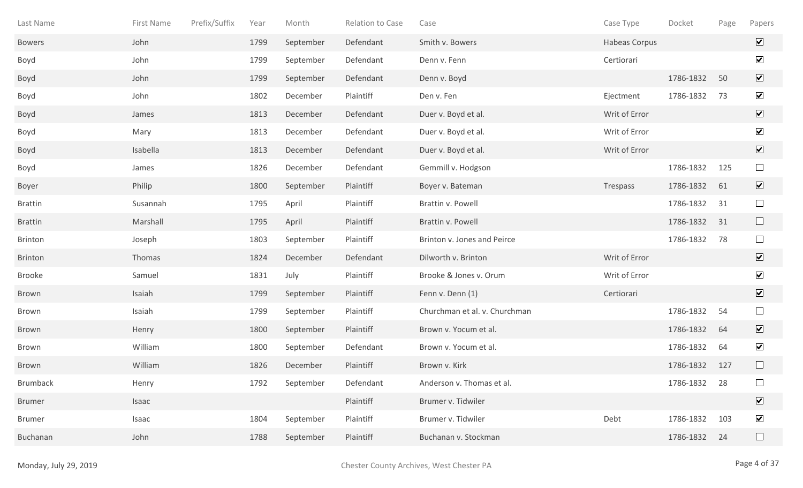| Last Name       | First Name | Prefix/Suffix | Year | Month     | Relation to Case | Case                          | Case Type     | Docket    | Page | Papers                       |
|-----------------|------------|---------------|------|-----------|------------------|-------------------------------|---------------|-----------|------|------------------------------|
| <b>Bowers</b>   | John       |               | 1799 | September | Defendant        | Smith v. Bowers               | Habeas Corpus |           |      | $\overline{\mathbf{v}}$      |
| Boyd            | John       |               | 1799 | September | Defendant        | Denn v. Fenn                  | Certiorari    |           |      | $\blacktriangledown$         |
| Boyd            | John       |               | 1799 | September | Defendant        | Denn v. Boyd                  |               | 1786-1832 | 50   | $\overline{\mathbf{v}}$      |
| Boyd            | John       |               | 1802 | December  | Plaintiff        | Den v. Fen                    | Ejectment     | 1786-1832 | 73   | $\blacktriangledown$         |
| Boyd            | James      |               | 1813 | December  | Defendant        | Duer v. Boyd et al.           | Writ of Error |           |      | $\overline{\mathbf{v}}$      |
| Boyd            | Mary       |               | 1813 | December  | Defendant        | Duer v. Boyd et al.           | Writ of Error |           |      | $\blacktriangledown$         |
| Boyd            | Isabella   |               | 1813 | December  | Defendant        | Duer v. Boyd et al.           | Writ of Error |           |      | $\blacktriangledown$         |
| Boyd            | James      |               | 1826 | December  | Defendant        | Gemmill v. Hodgson            |               | 1786-1832 | 125  | $\Box$                       |
| Boyer           | Philip     |               | 1800 | September | Plaintiff        | Boyer v. Bateman              | Trespass      | 1786-1832 | 61   | $\overline{\mathbf{v}}$      |
| <b>Brattin</b>  | Susannah   |               | 1795 | April     | Plaintiff        | Brattin v. Powell             |               | 1786-1832 | 31   | $\Box$                       |
| <b>Brattin</b>  | Marshall   |               | 1795 | April     | Plaintiff        | Brattin v. Powell             |               | 1786-1832 | 31   | $\Box$                       |
| <b>Brinton</b>  | Joseph     |               | 1803 | September | Plaintiff        | Brinton v. Jones and Peirce   |               | 1786-1832 | 78   | $\Box$                       |
| <b>Brinton</b>  | Thomas     |               | 1824 | December  | Defendant        | Dilworth v. Brinton           | Writ of Error |           |      | $\overline{\mathbf{v}}$      |
| <b>Brooke</b>   | Samuel     |               | 1831 | July      | Plaintiff        | Brooke & Jones v. Orum        | Writ of Error |           |      | $\blacktriangledown$         |
| Brown           | Isaiah     |               | 1799 | September | Plaintiff        | Fenn v. Denn (1)              | Certiorari    |           |      | $\blacktriangledown$         |
| Brown           | Isaiah     |               | 1799 | September | Plaintiff        | Churchman et al. v. Churchman |               | 1786-1832 | 54   | $\Box$                       |
| Brown           | Henry      |               | 1800 | September | Plaintiff        | Brown v. Yocum et al.         |               | 1786-1832 | 64   | $\overline{\mathbf{v}}$      |
| Brown           | William    |               | 1800 | September | Defendant        | Brown v. Yocum et al.         |               | 1786-1832 | 64   | $\blacktriangledown$         |
| Brown           | William    |               | 1826 | December  | Plaintiff        | Brown v. Kirk                 |               | 1786-1832 | 127  | $\Box$                       |
| <b>Brumback</b> | Henry      |               | 1792 | September | Defendant        | Anderson v. Thomas et al.     |               | 1786-1832 | 28   |                              |
| <b>Brumer</b>   | Isaac      |               |      |           | Plaintiff        | Brumer v. Tidwiler            |               |           |      | $\boxed{\blacktriangledown}$ |
| <b>Brumer</b>   | Isaac      |               | 1804 | September | Plaintiff        | Brumer v. Tidwiler            | Debt          | 1786-1832 | 103  | $\boxed{\blacktriangledown}$ |
| Buchanan        | John       |               | 1788 | September | Plaintiff        | Buchanan v. Stockman          |               | 1786-1832 | 24   | $\Box$                       |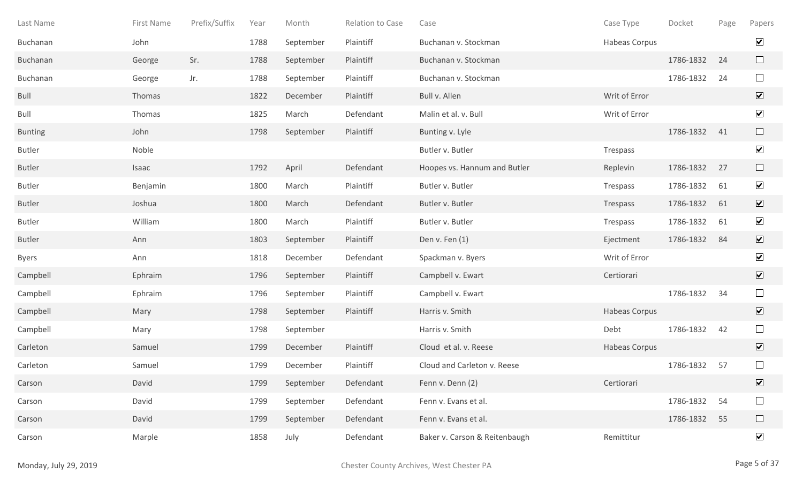| Last Name      | First Name | Prefix/Suffix | Year | Month     | Relation to Case | Case                          | Case Type     | Docket    | Page | Papers                       |
|----------------|------------|---------------|------|-----------|------------------|-------------------------------|---------------|-----------|------|------------------------------|
| Buchanan       | John       |               | 1788 | September | Plaintiff        | Buchanan v. Stockman          | Habeas Corpus |           |      | $\blacktriangledown$         |
| Buchanan       | George     | Sr.           | 1788 | September | Plaintiff        | Buchanan v. Stockman          |               | 1786-1832 | 24   | $\Box$                       |
| Buchanan       | George     | Jr.           | 1788 | September | Plaintiff        | Buchanan v. Stockman          |               | 1786-1832 | 24   | $\Box$                       |
| Bull           | Thomas     |               | 1822 | December  | Plaintiff        | Bull v. Allen                 | Writ of Error |           |      | $\overline{\mathbf{v}}$      |
| Bull           | Thomas     |               | 1825 | March     | Defendant        | Malin et al. v. Bull          | Writ of Error |           |      | $\blacktriangledown$         |
| <b>Bunting</b> | John       |               | 1798 | September | Plaintiff        | Bunting v. Lyle               |               | 1786-1832 | 41   | $\Box$                       |
| <b>Butler</b>  | Noble      |               |      |           |                  | Butler v. Butler              | Trespass      |           |      | $\blacktriangledown$         |
| <b>Butler</b>  | Isaac      |               | 1792 | April     | Defendant        | Hoopes vs. Hannum and Butler  | Replevin      | 1786-1832 | 27   | $\Box$                       |
| <b>Butler</b>  | Benjamin   |               | 1800 | March     | Plaintiff        | Butler v. Butler              | Trespass      | 1786-1832 | 61   | $\blacktriangledown$         |
| <b>Butler</b>  | Joshua     |               | 1800 | March     | Defendant        | Butler v. Butler              | Trespass      | 1786-1832 | 61   | $\overline{\mathbf{v}}$      |
| <b>Butler</b>  | William    |               | 1800 | March     | Plaintiff        | Butler v. Butler              | Trespass      | 1786-1832 | 61   | $\blacktriangledown$         |
| <b>Butler</b>  | Ann        |               | 1803 | September | Plaintiff        | Den v. Fen (1)                | Ejectment     | 1786-1832 | 84   | $\blacktriangledown$         |
| <b>Byers</b>   | Ann        |               | 1818 | December  | Defendant        | Spackman v. Byers             | Writ of Error |           |      | $\blacktriangledown$         |
| Campbell       | Ephraim    |               | 1796 | September | Plaintiff        | Campbell v. Ewart             | Certiorari    |           |      | $\overline{\mathbf{v}}$      |
| Campbell       | Ephraim    |               | 1796 | September | Plaintiff        | Campbell v. Ewart             |               | 1786-1832 | 34   | $\Box$                       |
| Campbell       | Mary       |               | 1798 | September | Plaintiff        | Harris v. Smith               | Habeas Corpus |           |      | $\sqrt{}$                    |
| Campbell       | Mary       |               | 1798 | September |                  | Harris v. Smith               | Debt          | 1786-1832 | 42   | $\Box$                       |
| Carleton       | Samuel     |               | 1799 | December  | Plaintiff        | Cloud et al. v. Reese         | Habeas Corpus |           |      | $\overline{\mathbf{v}}$      |
| Carleton       | Samuel     |               | 1799 | December  | Plaintiff        | Cloud and Carleton v. Reese   |               | 1786-1832 | 57   | $\Box$                       |
| Carson         | David      |               | 1799 | September | Defendant        | Fenn v. Denn (2)              | Certiorari    |           |      | $\boxed{\blacktriangledown}$ |
| Carson         | David      |               | 1799 | September | Defendant        | Fenn v. Evans et al.          |               | 1786-1832 | 54   | $\Box$                       |
| Carson         | David      |               | 1799 | September | Defendant        | Fenn v. Evans et al.          |               | 1786-1832 | 55   | $\Box$                       |
| Carson         | Marple     |               | 1858 | July      | Defendant        | Baker v. Carson & Reitenbaugh | Remittitur    |           |      | $\blacktriangledown$         |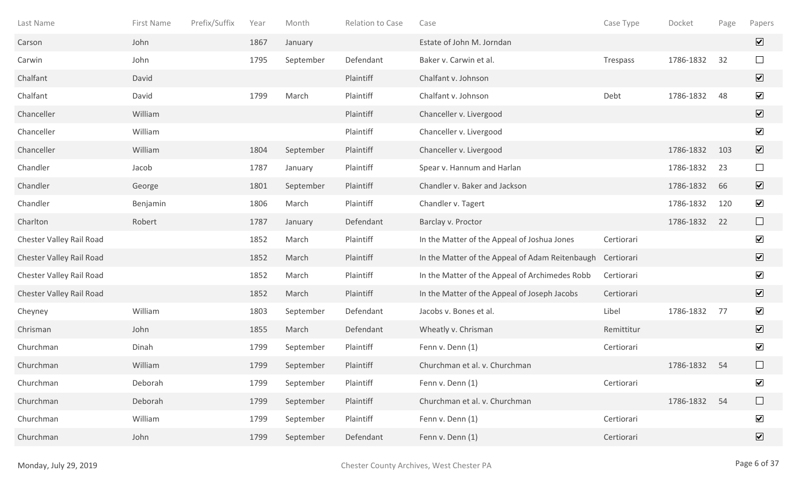| Last Name                | First Name | Prefix/Suffix | Year | Month     | Relation to Case | Case                                            | Case Type  | Docket    | Page | Papers                       |
|--------------------------|------------|---------------|------|-----------|------------------|-------------------------------------------------|------------|-----------|------|------------------------------|
| Carson                   | John       |               | 1867 | January   |                  | Estate of John M. Jorndan                       |            |           |      | $\overline{\mathbf{v}}$      |
| Carwin                   | John       |               | 1795 | September | Defendant        | Baker v. Carwin et al.                          | Trespass   | 1786-1832 | 32   | $\Box$                       |
| Chalfant                 | David      |               |      |           | Plaintiff        | Chalfant v. Johnson                             |            |           |      | $\boxed{\mathbf{v}}$         |
| Chalfant                 | David      |               | 1799 | March     | Plaintiff        | Chalfant v. Johnson                             | Debt       | 1786-1832 | 48   | $\blacktriangledown$         |
| Chanceller               | William    |               |      |           | Plaintiff        | Chanceller v. Livergood                         |            |           |      | $\boxed{\mathbf{v}}$         |
| Chanceller               | William    |               |      |           | Plaintiff        | Chanceller v. Livergood                         |            |           |      | $\blacktriangledown$         |
| Chanceller               | William    |               | 1804 | September | Plaintiff        | Chanceller v. Livergood                         |            | 1786-1832 | 103  | $\boxed{\mathbf{v}}$         |
| Chandler                 | Jacob      |               | 1787 | January   | Plaintiff        | Spear v. Hannum and Harlan                      |            | 1786-1832 | 23   | $\Box$                       |
| Chandler                 | George     |               | 1801 | September | Plaintiff        | Chandler v. Baker and Jackson                   |            | 1786-1832 | 66   | $\overline{\mathbf{v}}$      |
| Chandler                 | Benjamin   |               | 1806 | March     | Plaintiff        | Chandler v. Tagert                              |            | 1786-1832 | 120  | $\blacktriangledown$         |
| Charlton                 | Robert     |               | 1787 | January   | Defendant        | Barclay v. Proctor                              |            | 1786-1832 | 22   | $\Box$                       |
| Chester Valley Rail Road |            |               | 1852 | March     | Plaintiff        | In the Matter of the Appeal of Joshua Jones     | Certiorari |           |      | $\overline{\mathbf{v}}$      |
| Chester Valley Rail Road |            |               | 1852 | March     | Plaintiff        | In the Matter of the Appeal of Adam Reitenbaugh | Certiorari |           |      | $\overline{\mathbf{v}}$      |
| Chester Valley Rail Road |            |               | 1852 | March     | Plaintiff        | In the Matter of the Appeal of Archimedes Robb  | Certiorari |           |      | $\blacktriangledown$         |
| Chester Valley Rail Road |            |               | 1852 | March     | Plaintiff        | In the Matter of the Appeal of Joseph Jacobs    | Certiorari |           |      | $\blacktriangledown$         |
| Cheyney                  | William    |               | 1803 | September | Defendant        | Jacobs v. Bones et al.                          | Libel      | 1786-1832 | 77   | $\blacktriangledown$         |
| Chrisman                 | John       |               | 1855 | March     | Defendant        | Wheatly v. Chrisman                             | Remittitur |           |      | $\boxed{\mathbf{v}}$         |
| Churchman                | Dinah      |               | 1799 | September | Plaintiff        | Fenn v. Denn (1)                                | Certiorari |           |      | $\blacktriangledown$         |
| Churchman                | William    |               | 1799 | September | Plaintiff        | Churchman et al. v. Churchman                   |            | 1786-1832 | 54   |                              |
| Churchman                | Deborah    |               | 1799 | September | Plaintiff        | Fenn v. Denn (1)                                | Certiorari |           |      | $\blacktriangledown$         |
| Churchman                | Deborah    |               | 1799 | September | Plaintiff        | Churchman et al. v. Churchman                   |            | 1786-1832 | 54   | $\Box$                       |
| Churchman                | William    |               | 1799 | September | Plaintiff        | Fenn v. Denn (1)                                | Certiorari |           |      | $\blacktriangledown$         |
| Churchman                | John       |               | 1799 | September | Defendant        | Fenn v. Denn (1)                                | Certiorari |           |      | $\boxed{\blacktriangledown}$ |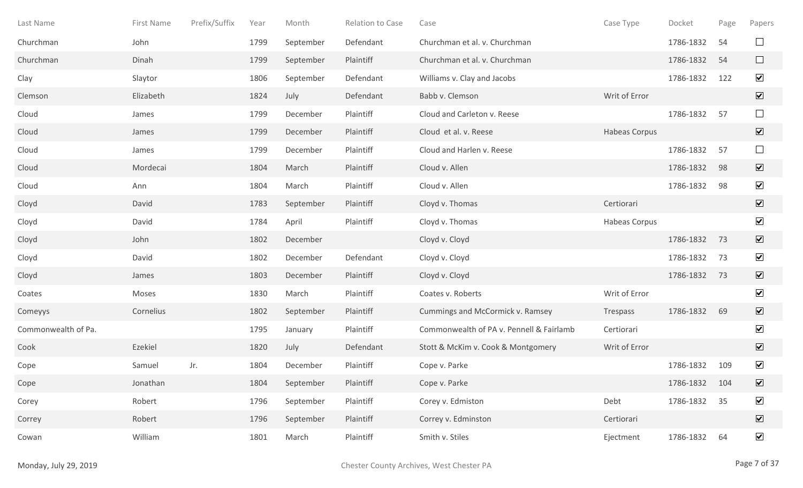| Last Name           | First Name | Prefix/Suffix | Year | Month     | <b>Relation to Case</b> | Case                                     | Case Type     | Docket    | Page | Papers                       |
|---------------------|------------|---------------|------|-----------|-------------------------|------------------------------------------|---------------|-----------|------|------------------------------|
| Churchman           | John       |               | 1799 | September | Defendant               | Churchman et al. v. Churchman            |               | 1786-1832 | 54   | $\Box$                       |
| Churchman           | Dinah      |               | 1799 | September | Plaintiff               | Churchman et al. v. Churchman            |               | 1786-1832 | 54   | $\Box$                       |
| Clay                | Slaytor    |               | 1806 | September | Defendant               | Williams v. Clay and Jacobs              |               | 1786-1832 | 122  | $\blacktriangledown$         |
| Clemson             | Elizabeth  |               | 1824 | July      | Defendant               | Babb v. Clemson                          | Writ of Error |           |      | $\overline{\mathbf{v}}$      |
| Cloud               | James      |               | 1799 | December  | Plaintiff               | Cloud and Carleton v. Reese              |               | 1786-1832 | 57   | $\Box$                       |
| Cloud               | James      |               | 1799 | December  | Plaintiff               | Cloud et al. v. Reese                    | Habeas Corpus |           |      | $\overline{\mathbf{v}}$      |
| Cloud               | James      |               | 1799 | December  | Plaintiff               | Cloud and Harlen v. Reese                |               | 1786-1832 | 57   | $\Box$                       |
| Cloud               | Mordecai   |               | 1804 | March     | Plaintiff               | Cloud v. Allen                           |               | 1786-1832 | 98   | $\overline{\mathbf{v}}$      |
| Cloud               | Ann        |               | 1804 | March     | Plaintiff               | Cloud v. Allen                           |               | 1786-1832 | 98   | $\blacktriangledown$         |
| Cloyd               | David      |               | 1783 | September | Plaintiff               | Cloyd v. Thomas                          | Certiorari    |           |      | $\overline{\mathbf{v}}$      |
| Cloyd               | David      |               | 1784 | April     | Plaintiff               | Cloyd v. Thomas                          | Habeas Corpus |           |      | $\blacktriangledown$         |
| Cloyd               | John       |               | 1802 | December  |                         | Cloyd v. Cloyd                           |               | 1786-1832 | 73   | $\overline{\mathbf{v}}$      |
| Cloyd               | David      |               | 1802 | December  | Defendant               | Cloyd v. Cloyd                           |               | 1786-1832 | 73   | $\blacktriangledown$         |
| Cloyd               | James      |               | 1803 | December  | Plaintiff               | Cloyd v. Cloyd                           |               | 1786-1832 | 73   | $\overline{\mathbf{v}}$      |
| Coates              | Moses      |               | 1830 | March     | Plaintiff               | Coates v. Roberts                        | Writ of Error |           |      | $\blacktriangledown$         |
| Comeyys             | Cornelius  |               | 1802 | September | Plaintiff               | Cummings and McCormick v. Ramsey         | Trespass      | 1786-1832 | 69   | $\overline{\mathbf{v}}$      |
| Commonwealth of Pa. |            |               | 1795 | January   | Plaintiff               | Commonwealth of PA v. Pennell & Fairlamb | Certiorari    |           |      | $\blacktriangledown$         |
| Cook                | Ezekiel    |               | 1820 | July      | Defendant               | Stott & McKim v. Cook & Montgomery       | Writ of Error |           |      | $\overline{\mathbf{v}}$      |
| Cope                | Samuel     | Jr.           | 1804 | December  | Plaintiff               | Cope v. Parke                            |               | 1786-1832 | 109  | $\blacktriangledown$         |
| Cope                | Jonathan   |               | 1804 | September | Plaintiff               | Cope v. Parke                            |               | 1786-1832 | 104  | $\boxed{\blacktriangledown}$ |
| Corey               | Robert     |               | 1796 | September | Plaintiff               | Corey v. Edmiston                        | Debt          | 1786-1832 | 35   | $\blacktriangledown$         |
| Correy              | Robert     |               | 1796 | September | Plaintiff               | Correy v. Edminston                      | Certiorari    |           |      | $\boxed{\blacktriangledown}$ |
| Cowan               | William    |               | 1801 | March     | Plaintiff               | Smith v. Stiles                          | Ejectment     | 1786-1832 | 64   | $\blacktriangledown$         |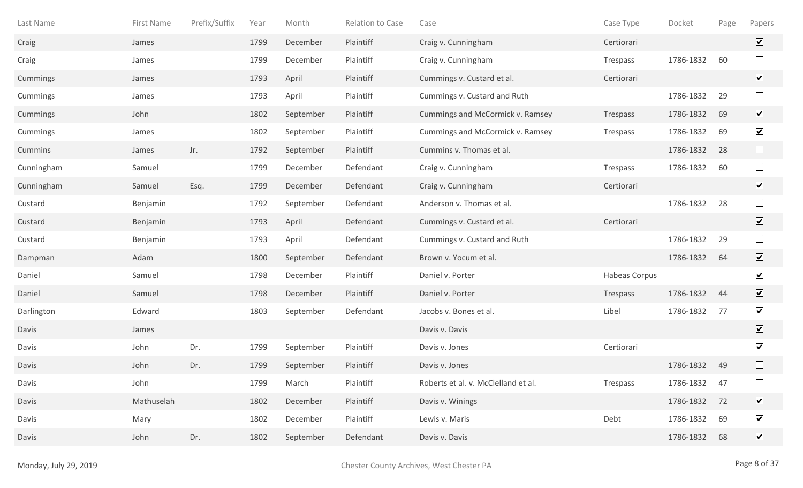| Last Name  | First Name | Prefix/Suffix | Year | Month     | Relation to Case | Case                                | Case Type            | Docket    | Page | Papers                       |
|------------|------------|---------------|------|-----------|------------------|-------------------------------------|----------------------|-----------|------|------------------------------|
| Craig      | James      |               | 1799 | December  | Plaintiff        | Craig v. Cunningham                 | Certiorari           |           |      | $\overline{\mathbf{v}}$      |
| Craig      | James      |               | 1799 | December  | Plaintiff        | Craig v. Cunningham                 | Trespass             | 1786-1832 | 60   | $\Box$                       |
| Cummings   | James      |               | 1793 | April     | Plaintiff        | Cummings v. Custard et al.          | Certiorari           |           |      | $\boxed{\blacktriangledown}$ |
| Cummings   | James      |               | 1793 | April     | Plaintiff        | Cummings v. Custard and Ruth        |                      | 1786-1832 | 29   | $\Box$                       |
| Cummings   | John       |               | 1802 | September | Plaintiff        | Cummings and McCormick v. Ramsey    | Trespass             | 1786-1832 | 69   | $\overline{\mathbf{v}}$      |
| Cummings   | James      |               | 1802 | September | Plaintiff        | Cummings and McCormick v. Ramsey    | Trespass             | 1786-1832 | 69   | $\blacktriangledown$         |
| Cummins    | James      | Jr.           | 1792 | September | Plaintiff        | Cummins v. Thomas et al.            |                      | 1786-1832 | 28   | $\Box$                       |
| Cunningham | Samuel     |               | 1799 | December  | Defendant        | Craig v. Cunningham                 | Trespass             | 1786-1832 | 60   | $\Box$                       |
| Cunningham | Samuel     | Esq.          | 1799 | December  | Defendant        | Craig v. Cunningham                 | Certiorari           |           |      | $\overline{\mathbf{v}}$      |
| Custard    | Benjamin   |               | 1792 | September | Defendant        | Anderson v. Thomas et al.           |                      | 1786-1832 | 28   | $\Box$                       |
| Custard    | Benjamin   |               | 1793 | April     | Defendant        | Cummings v. Custard et al.          | Certiorari           |           |      | $\boxed{\blacktriangledown}$ |
| Custard    | Benjamin   |               | 1793 | April     | Defendant        | Cummings v. Custard and Ruth        |                      | 1786-1832 | 29   | $\Box$                       |
| Dampman    | Adam       |               | 1800 | September | Defendant        | Brown v. Yocum et al.               |                      | 1786-1832 | 64   | $\overline{\mathbf{v}}$      |
| Daniel     | Samuel     |               | 1798 | December  | Plaintiff        | Daniel v. Porter                    | <b>Habeas Corpus</b> |           |      | $\blacktriangledown$         |
| Daniel     | Samuel     |               | 1798 | December  | Plaintiff        | Daniel v. Porter                    | Trespass             | 1786-1832 | 44   | $\overline{\mathbf{v}}$      |
| Darlington | Edward     |               | 1803 | September | Defendant        | Jacobs v. Bones et al.              | Libel                | 1786-1832 | 77   | $\blacktriangledown$         |
| Davis      | James      |               |      |           |                  | Davis v. Davis                      |                      |           |      | $\overline{\mathbf{v}}$      |
| Davis      | John       | Dr.           | 1799 | September | Plaintiff        | Davis v. Jones                      | Certiorari           |           |      | $\blacktriangledown$         |
| Davis      | John       | Dr.           | 1799 | September | Plaintiff        | Davis v. Jones                      |                      | 1786-1832 | 49   | $\Box$                       |
| Davis      | John       |               | 1799 | March     | Plaintiff        | Roberts et al. v. McClelland et al. | Trespass             | 1786-1832 | 47   |                              |
| Davis      | Mathuselah |               | 1802 | December  | Plaintiff        | Davis v. Winings                    |                      | 1786-1832 | 72   | $\boxed{\mathbf{v}}$         |
| Davis      | Mary       |               | 1802 | December  | Plaintiff        | Lewis v. Maris                      | Debt                 | 1786-1832 | 69   | $\blacktriangledown$         |
| Davis      | John       | Dr.           | 1802 | September | Defendant        | Davis v. Davis                      |                      | 1786-1832 | 68   | $\boxed{\blacktriangledown}$ |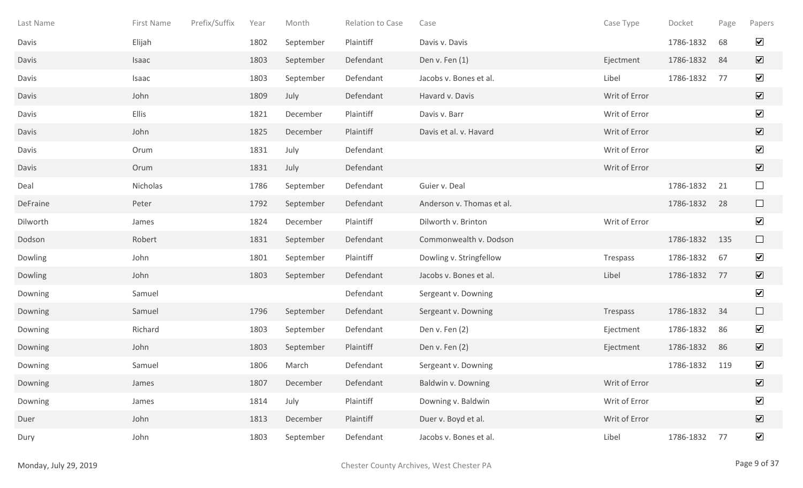| Last Name | First Name | Prefix/Suffix | Year | Month     | Relation to Case | Case                      | Case Type     | Docket    | Page | Papers                          |
|-----------|------------|---------------|------|-----------|------------------|---------------------------|---------------|-----------|------|---------------------------------|
| Davis     | Elijah     |               | 1802 | September | Plaintiff        | Davis v. Davis            |               | 1786-1832 | 68   | $\blacktriangledown$            |
| Davis     | Isaac      |               | 1803 | September | Defendant        | Den v. Fen $(1)$          | Ejectment     | 1786-1832 | 84   | $\overline{\mathbf{v}}$         |
| Davis     | Isaac      |               | 1803 | September | Defendant        | Jacobs v. Bones et al.    | Libel         | 1786-1832 | 77   | $\blacktriangledown$            |
| Davis     | John       |               | 1809 | July      | Defendant        | Havard v. Davis           | Writ of Error |           |      | $\boxed{\blacktriangledown}$    |
| Davis     | Ellis      |               | 1821 | December  | Plaintiff        | Davis v. Barr             | Writ of Error |           |      | $\blacktriangledown$            |
| Davis     | John       |               | 1825 | December  | Plaintiff        | Davis et al. v. Havard    | Writ of Error |           |      | $\overline{\blacktriangledown}$ |
| Davis     | Orum       |               | 1831 | July      | Defendant        |                           | Writ of Error |           |      | $\blacktriangledown$            |
| Davis     | Orum       |               | 1831 | July      | Defendant        |                           | Writ of Error |           |      | $\sqrt{}$                       |
| Deal      | Nicholas   |               | 1786 | September | Defendant        | Guier v. Deal             |               | 1786-1832 | 21   | $\Box$                          |
| DeFraine  | Peter      |               | 1792 | September | Defendant        | Anderson v. Thomas et al. |               | 1786-1832 | 28   | $\Box$                          |
| Dilworth  | James      |               | 1824 | December  | Plaintiff        | Dilworth v. Brinton       | Writ of Error |           |      | $\blacktriangledown$            |
| Dodson    | Robert     |               | 1831 | September | Defendant        | Commonwealth v. Dodson    |               | 1786-1832 | 135  | $\Box$                          |
| Dowling   | John       |               | 1801 | September | Plaintiff        | Dowling v. Stringfellow   | Trespass      | 1786-1832 | 67   | $\blacktriangledown$            |
| Dowling   | John       |               | 1803 | September | Defendant        | Jacobs v. Bones et al.    | Libel         | 1786-1832 | 77   | $\boxed{\mathbf{v}}$            |
| Downing   | Samuel     |               |      |           | Defendant        | Sergeant v. Downing       |               |           |      | $\blacktriangledown$            |
| Downing   | Samuel     |               | 1796 | September | Defendant        | Sergeant v. Downing       | Trespass      | 1786-1832 | 34   | $\Box$                          |
| Downing   | Richard    |               | 1803 | September | Defendant        | Den v. Fen (2)            | Ejectment     | 1786-1832 | 86   | $\blacktriangledown$            |
| Downing   | John       |               | 1803 | September | Plaintiff        | Den v. Fen (2)            | Ejectment     | 1786-1832 | 86   | $\overline{\mathbf{v}}$         |
| Downing   | Samuel     |               | 1806 | March     | Defendant        | Sergeant v. Downing       |               | 1786-1832 | 119  | $\blacktriangledown$            |
| Downing   | James      |               | 1807 | December  | Defendant        | Baldwin v. Downing        | Writ of Error |           |      | $\boxed{\blacktriangledown}$    |
| Downing   | James      |               | 1814 | July      | Plaintiff        | Downing v. Baldwin        | Writ of Error |           |      | $\blacktriangledown$            |
| Duer      | John       |               | 1813 | December  | Plaintiff        | Duer v. Boyd et al.       | Writ of Error |           |      | $\boxed{\blacktriangledown}$    |
| Dury      | John       |               | 1803 | September | Defendant        | Jacobs v. Bones et al.    | Libel         | 1786-1832 | 77   | $\blacktriangledown$            |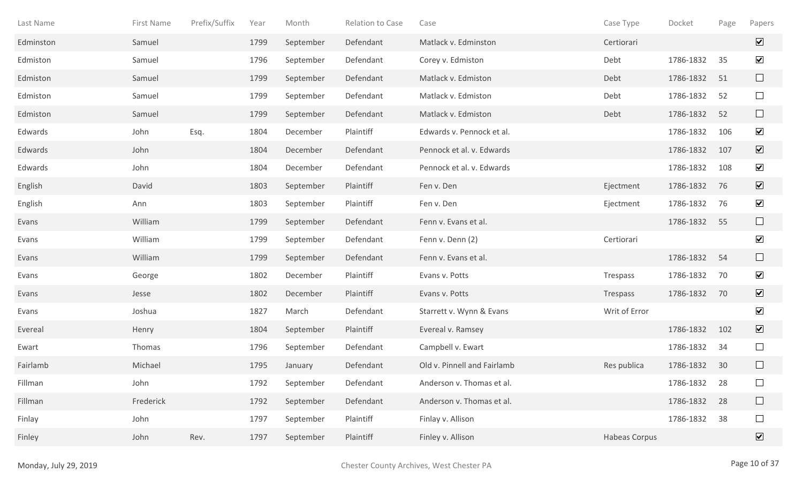| Last Name | First Name | Prefix/Suffix | Year | Month     | Relation to Case | Case                        | Case Type     | Docket    | Page | Papers                       |
|-----------|------------|---------------|------|-----------|------------------|-----------------------------|---------------|-----------|------|------------------------------|
| Edminston | Samuel     |               | 1799 | September | Defendant        | Matlack v. Edminston        | Certiorari    |           |      | $\overline{\mathbf{v}}$      |
| Edmiston  | Samuel     |               | 1796 | September | Defendant        | Corey v. Edmiston           | Debt          | 1786-1832 | 35   | $\blacktriangledown$         |
| Edmiston  | Samuel     |               | 1799 | September | Defendant        | Matlack v. Edmiston         | Debt          | 1786-1832 | 51   | $\Box$                       |
| Edmiston  | Samuel     |               | 1799 | September | Defendant        | Matlack v. Edmiston         | Debt          | 1786-1832 | 52   | $\Box$                       |
| Edmiston  | Samuel     |               | 1799 | September | Defendant        | Matlack v. Edmiston         | Debt          | 1786-1832 | 52   | $\Box$                       |
| Edwards   | John       | Esq.          | 1804 | December  | Plaintiff        | Edwards v. Pennock et al.   |               | 1786-1832 | 106  | $\blacktriangledown$         |
| Edwards   | John       |               | 1804 | December  | Defendant        | Pennock et al. v. Edwards   |               | 1786-1832 | 107  | $\overline{\mathbf{v}}$      |
| Edwards   | John       |               | 1804 | December  | Defendant        | Pennock et al. v. Edwards   |               | 1786-1832 | 108  | $\blacktriangledown$         |
| English   | David      |               | 1803 | September | Plaintiff        | Fen v. Den                  | Ejectment     | 1786-1832 | 76   | $\overline{\mathbf{v}}$      |
| English   | Ann        |               | 1803 | September | Plaintiff        | Fen v. Den                  | Ejectment     | 1786-1832 | 76   | $\blacktriangledown$         |
| Evans     | William    |               | 1799 | September | Defendant        | Fenn v. Evans et al.        |               | 1786-1832 | 55   | $\Box$                       |
| Evans     | William    |               | 1799 | September | Defendant        | Fenn v. Denn (2)            | Certiorari    |           |      | $\blacktriangledown$         |
| Evans     | William    |               | 1799 | September | Defendant        | Fenn v. Evans et al.        |               | 1786-1832 | 54   | $\Box$                       |
| Evans     | George     |               | 1802 | December  | Plaintiff        | Evans v. Potts              | Trespass      | 1786-1832 | 70   | $\blacktriangledown$         |
| Evans     | Jesse      |               | 1802 | December  | Plaintiff        | Evans v. Potts              | Trespass      | 1786-1832 | 70   | $\overline{\mathbf{v}}$      |
| Evans     | Joshua     |               | 1827 | March     | Defendant        | Starrett v. Wynn & Evans    | Writ of Error |           |      | $\blacktriangledown$         |
| Evereal   | Henry      |               | 1804 | September | Plaintiff        | Evereal v. Ramsey           |               | 1786-1832 | 102  | $\overline{\mathbf{v}}$      |
| Ewart     | Thomas     |               | 1796 | September | Defendant        | Campbell v. Ewart           |               | 1786-1832 | 34   | $\Box$                       |
| Fairlamb  | Michael    |               | 1795 | January   | Defendant        | Old v. Pinnell and Fairlamb | Res publica   | 1786-1832 | 30   | $\Box$                       |
| Fillman   | John       |               | 1792 | September | Defendant        | Anderson v. Thomas et al.   |               | 1786-1832 | 28   | $\Box$                       |
| Fillman   | Frederick  |               | 1792 | September | Defendant        | Anderson v. Thomas et al.   |               | 1786-1832 | 28   | $\Box$                       |
| Finlay    | John       |               | 1797 | September | Plaintiff        | Finlay v. Allison           |               | 1786-1832 | 38   | $\Box$                       |
| Finley    | John       | Rev.          | 1797 | September | Plaintiff        | Finley v. Allison           | Habeas Corpus |           |      | $\boxed{\blacktriangledown}$ |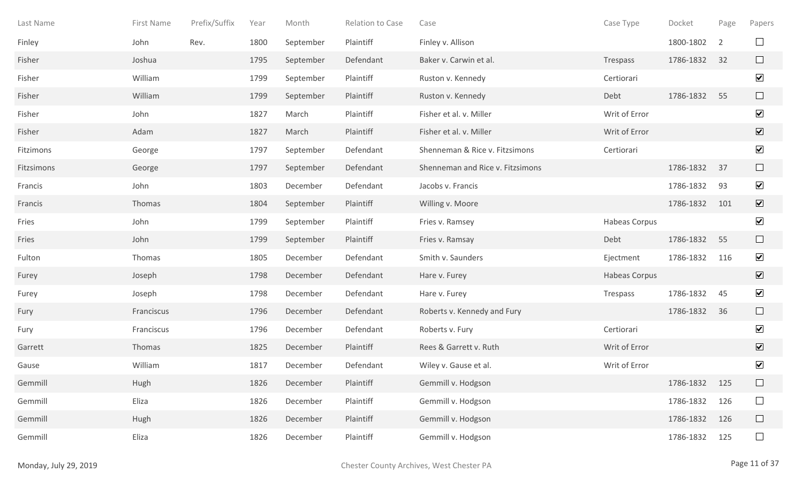| Last Name  | First Name | Prefix/Suffix | Year | Month     | Relation to Case | Case                             | Case Type     | Docket    | Page | Papers                  |
|------------|------------|---------------|------|-----------|------------------|----------------------------------|---------------|-----------|------|-------------------------|
| Finley     | John       | Rev.          | 1800 | September | Plaintiff        | Finley v. Allison                |               | 1800-1802 | 2    | $\Box$                  |
| Fisher     | Joshua     |               | 1795 | September | Defendant        | Baker v. Carwin et al.           | Trespass      | 1786-1832 | 32   | $\Box$                  |
| Fisher     | William    |               | 1799 | September | Plaintiff        | Ruston v. Kennedy                | Certiorari    |           |      | $\blacktriangledown$    |
| Fisher     | William    |               | 1799 | September | Plaintiff        | Ruston v. Kennedy                | Debt          | 1786-1832 | 55   | $\Box$                  |
| Fisher     | John       |               | 1827 | March     | Plaintiff        | Fisher et al. v. Miller          | Writ of Error |           |      | $\blacktriangledown$    |
| Fisher     | Adam       |               | 1827 | March     | Plaintiff        | Fisher et al. v. Miller          | Writ of Error |           |      | $\overline{\mathbf{v}}$ |
| Fitzimons  | George     |               | 1797 | September | Defendant        | Shenneman & Rice v. Fitzsimons   | Certiorari    |           |      | $\blacktriangledown$    |
| Fitzsimons | George     |               | 1797 | September | Defendant        | Shenneman and Rice v. Fitzsimons |               | 1786-1832 | 37   | $\Box$                  |
| Francis    | John       |               | 1803 | December  | Defendant        | Jacobs v. Francis                |               | 1786-1832 | 93   | $\blacktriangledown$    |
| Francis    | Thomas     |               | 1804 | September | Plaintiff        | Willing v. Moore                 |               | 1786-1832 | 101  | $\overline{\mathbf{v}}$ |
| Fries      | John       |               | 1799 | September | Plaintiff        | Fries v. Ramsey                  | Habeas Corpus |           |      | $\blacktriangledown$    |
| Fries      | John       |               | 1799 | September | Plaintiff        | Fries v. Ramsay                  | Debt          | 1786-1832 | 55   | $\Box$                  |
| Fulton     | Thomas     |               | 1805 | December  | Defendant        | Smith v. Saunders                | Ejectment     | 1786-1832 | 116  | $\blacktriangledown$    |
| Furey      | Joseph     |               | 1798 | December  | Defendant        | Hare v. Furey                    | Habeas Corpus |           |      | $\overline{\mathbf{v}}$ |
| Furey      | Joseph     |               | 1798 | December  | Defendant        | Hare v. Furey                    | Trespass      | 1786-1832 | 45   | $\blacktriangledown$    |
| Fury       | Franciscus |               | 1796 | December  | Defendant        | Roberts v. Kennedy and Fury      |               | 1786-1832 | 36   | $\Box$                  |
| Fury       | Franciscus |               | 1796 | December  | Defendant        | Roberts v. Fury                  | Certiorari    |           |      | $\blacktriangledown$    |
| Garrett    | Thomas     |               | 1825 | December  | Plaintiff        | Rees & Garrett v. Ruth           | Writ of Error |           |      | $\overline{\mathbf{v}}$ |
| Gause      | William    |               | 1817 | December  | Defendant        | Wiley v. Gause et al.            | Writ of Error |           |      | $\blacktriangledown$    |
| Gemmill    | Hugh       |               | 1826 | December  | Plaintiff        | Gemmill v. Hodgson               |               | 1786-1832 | 125  | $\Box$                  |
| Gemmill    | Eliza      |               | 1826 | December  | Plaintiff        | Gemmill v. Hodgson               |               | 1786-1832 | 126  | $\Box$                  |
| Gemmill    | Hugh       |               | 1826 | December  | Plaintiff        | Gemmill v. Hodgson               |               | 1786-1832 | 126  | $\Box$                  |
| Gemmill    | Eliza      |               | 1826 | December  | Plaintiff        | Gemmill v. Hodgson               |               | 1786-1832 | 125  | $\Box$                  |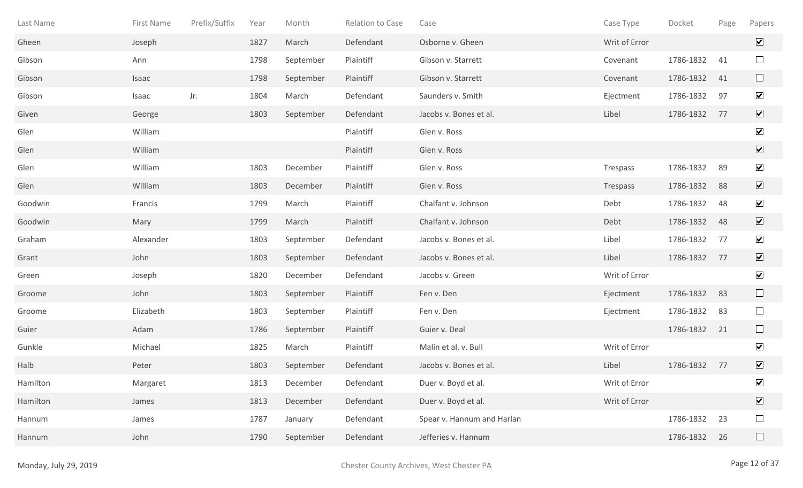| Last Name | First Name | Prefix/Suffix | Year | Month     | Relation to Case | Case                       | Case Type     | Docket    | Page | Papers                       |
|-----------|------------|---------------|------|-----------|------------------|----------------------------|---------------|-----------|------|------------------------------|
| Gheen     | Joseph     |               | 1827 | March     | Defendant        | Osborne v. Gheen           | Writ of Error |           |      | $\overline{\mathbf{v}}$      |
| Gibson    | Ann        |               | 1798 | September | Plaintiff        | Gibson v. Starrett         | Covenant      | 1786-1832 | 41   | $\Box$                       |
| Gibson    | Isaac      |               | 1798 | September | Plaintiff        | Gibson v. Starrett         | Covenant      | 1786-1832 | 41   | $\Box$                       |
| Gibson    | Isaac      | Jr.           | 1804 | March     | Defendant        | Saunders v. Smith          | Ejectment     | 1786-1832 | 97   | $\overline{\mathbf{v}}$      |
| Given     | George     |               | 1803 | September | Defendant        | Jacobs v. Bones et al.     | Libel         | 1786-1832 | 77   | $\boxed{\mathbf{v}}$         |
| Glen      | William    |               |      |           | Plaintiff        | Glen v. Ross               |               |           |      | $\blacktriangledown$         |
| Glen      | William    |               |      |           | Plaintiff        | Glen v. Ross               |               |           |      | $\boxed{\blacktriangledown}$ |
| Glen      | William    |               | 1803 | December  | Plaintiff        | Glen v. Ross               | Trespass      | 1786-1832 | 89   | $\blacktriangledown$         |
| Glen      | William    |               | 1803 | December  | Plaintiff        | Glen v. Ross               | Trespass      | 1786-1832 | 88   | $\boxed{\mathbf{v}}$         |
| Goodwin   | Francis    |               | 1799 | March     | Plaintiff        | Chalfant v. Johnson        | Debt          | 1786-1832 | 48   | $\blacktriangledown$         |
| Goodwin   | Mary       |               | 1799 | March     | Plaintiff        | Chalfant v. Johnson        | Debt          | 1786-1832 | 48   | $\overline{\mathbf{v}}$      |
| Graham    | Alexander  |               | 1803 | September | Defendant        | Jacobs v. Bones et al.     | Libel         | 1786-1832 | 77   | $\overline{\mathbf{v}}$      |
| Grant     | John       |               | 1803 | September | Defendant        | Jacobs v. Bones et al.     | Libel         | 1786-1832 | 77   | $\boxed{\mathbf{v}}$         |
| Green     | Joseph     |               | 1820 | December  | Defendant        | Jacobs v. Green            | Writ of Error |           |      | $\blacktriangledown$         |
| Groome    | John       |               | 1803 | September | Plaintiff        | Fen v. Den                 | Ejectment     | 1786-1832 | 83   | $\Box$                       |
| Groome    | Elizabeth  |               | 1803 | September | Plaintiff        | Fen v. Den                 | Ejectment     | 1786-1832 | 83   | $\Box$                       |
| Guier     | Adam       |               | 1786 | September | Plaintiff        | Guier v. Deal              |               | 1786-1832 | 21   | ⊔                            |
| Gunkle    | Michael    |               | 1825 | March     | Plaintiff        | Malin et al. v. Bull       | Writ of Error |           |      | $\blacktriangledown$         |
| Halb      | Peter      |               | 1803 | September | Defendant        | Jacobs v. Bones et al.     | Libel         | 1786-1832 | 77   | $\boxed{\blacktriangledown}$ |
| Hamilton  | Margaret   |               | 1813 | December  | Defendant        | Duer v. Boyd et al.        | Writ of Error |           |      | $\blacktriangledown$         |
| Hamilton  | James      |               | 1813 | December  | Defendant        | Duer v. Boyd et al.        | Writ of Error |           |      | $\overline{\mathbf{v}}$      |
| Hannum    | James      |               | 1787 | January   | Defendant        | Spear v. Hannum and Harlan |               | 1786-1832 | 23   | $\Box$                       |
| Hannum    | John       |               | 1790 | September | Defendant        | Jefferies v. Hannum        |               | 1786-1832 | 26   | $\Box$                       |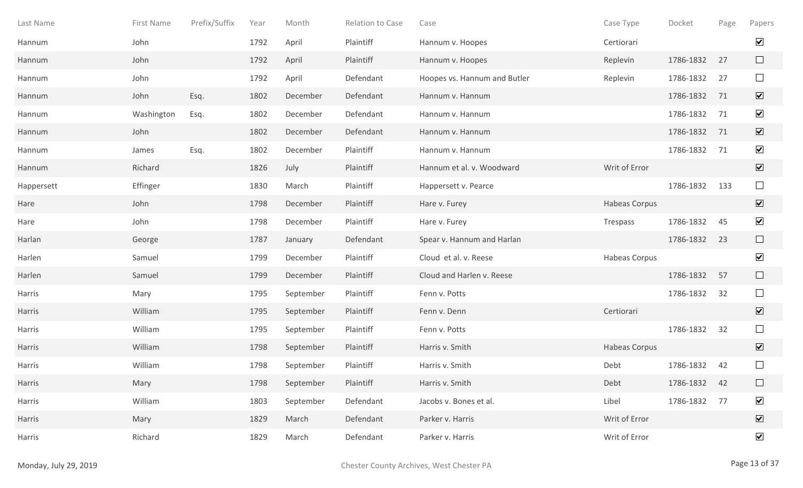| Last Name  | First Name | Prefix/Suffix | Year | Month     | Relation to Case | Case                         | Case Type     | Docket       | Page | Papers                       |
|------------|------------|---------------|------|-----------|------------------|------------------------------|---------------|--------------|------|------------------------------|
| Hannum     | John       |               | 1792 | April     | Plaintiff        | Hannum v. Hoopes             | Certiorari    |              |      | $\blacktriangledown$         |
| Hannum     | John       |               | 1792 | April     | Plaintiff        | Hannum v. Hoopes             | Replevin      | 1786-1832    | 27   | $\Box$                       |
| Hannum     | John       |               | 1792 | April     | Defendant        | Hoopes vs. Hannum and Butler | Replevin      | 1786-1832    | 27   | $\Box$                       |
| Hannum     | John       | Esq.          | 1802 | December  | Defendant        | Hannum v. Hannum             |               | 1786-1832    | 71   | $\boxed{\blacktriangledown}$ |
| Hannum     | Washington | Esq.          | 1802 | December  | Defendant        | Hannum v. Hannum             |               | 1786-1832    | 71   | $\blacktriangledown$         |
| Hannum     | John       |               | 1802 | December  | Defendant        | Hannum v. Hannum             |               | 1786-1832    | 71   | $\overline{\mathbf{v}}$      |
| Hannum     | James      | Esq.          | 1802 | December  | Plaintiff        | Hannum v. Hannum             |               | 1786-1832    | 71   | $\blacktriangledown$         |
| Hannum     | Richard    |               | 1826 | July      | Plaintiff        | Hannum et al. v. Woodward    | Writ of Error |              |      | $\blacktriangledown$         |
| Happersett | Effinger   |               | 1830 | March     | Plaintiff        | Happersett v. Pearce         |               | 1786-1832    | 133  | $\Box$                       |
| Hare       | John       |               | 1798 | December  | Plaintiff        | Hare v. Furey                | Habeas Corpus |              |      | $\overline{\mathbf{v}}$      |
| Hare       | John       |               | 1798 | December  | Plaintiff        | Hare v. Furey                | Trespass      | 1786-1832    | 45   | $\blacktriangledown$         |
| Harlan     | George     |               | 1787 | January   | Defendant        | Spear v. Hannum and Harlan   |               | 1786-1832    | 23   | $\Box$                       |
| Harlen     | Samuel     |               | 1799 | December  | Plaintiff        | Cloud et al. v. Reese        | Habeas Corpus |              |      | $\blacktriangledown$         |
| Harlen     | Samuel     |               | 1799 | December  | Plaintiff        | Cloud and Harlen v. Reese    |               | 1786-1832    | 57   | $\Box$                       |
| Harris     | Mary       |               | 1795 | September | Plaintiff        | Fenn v. Potts                |               | 1786-1832    | 32   | $\Box$                       |
| Harris     | William    |               | 1795 | September | Plaintiff        | Fenn v. Denn                 | Certiorari    |              |      | $\blacktriangledown$         |
| Harris     | William    |               | 1795 | September | Plaintiff        | Fenn v. Potts                |               | 1786-1832    | 32   | $\Box$                       |
| Harris     | William    |               | 1798 | September | Plaintiff        | Harris v. Smith              | Habeas Corpus |              |      | $\overline{\mathbf{v}}$      |
| Harris     | William    |               | 1798 | September | Plaintiff        | Harris v. Smith              | Debt          | 1786-1832    | 42   | $\Box$                       |
| Harris     | Mary       |               | 1798 | September | Plaintiff        | Harris v. Smith              | Debt          | 1786-1832 42 |      | $\Box$                       |
| Harris     | William    |               | 1803 | September | Defendant        | Jacobs v. Bones et al.       | Libel         | 1786-1832 77 |      | $\blacktriangledown$         |
| Harris     | Mary       |               | 1829 | March     | Defendant        | Parker v. Harris             | Writ of Error |              |      | $\boxed{\blacktriangledown}$ |
| Harris     | Richard    |               | 1829 | March     | Defendant        | Parker v. Harris             | Writ of Error |              |      | $\blacktriangledown$         |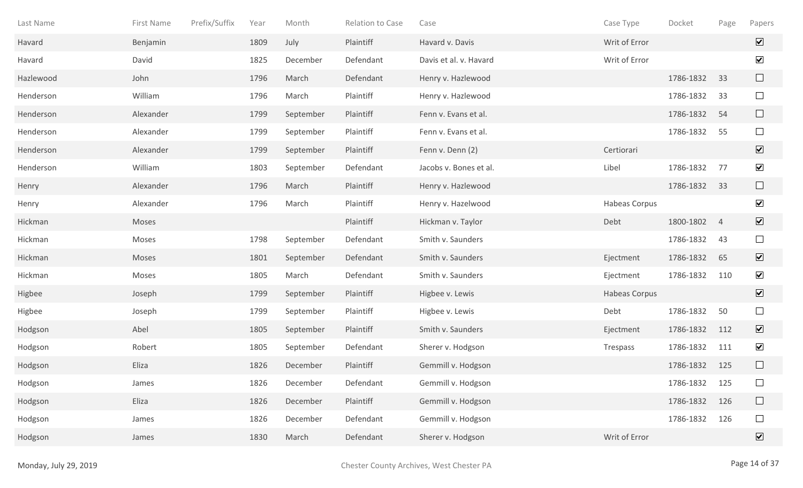| Last Name | First Name | Prefix/Suffix | Year | Month     | Relation to Case | Case                   | Case Type     | Docket    | Page           | Papers                       |
|-----------|------------|---------------|------|-----------|------------------|------------------------|---------------|-----------|----------------|------------------------------|
| Havard    | Benjamin   |               | 1809 | July      | Plaintiff        | Havard v. Davis        | Writ of Error |           |                | $\overline{\mathbf{v}}$      |
| Havard    | David      |               | 1825 | December  | Defendant        | Davis et al. v. Havard | Writ of Error |           |                | $\blacktriangledown$         |
| Hazlewood | John       |               | 1796 | March     | Defendant        | Henry v. Hazlewood     |               | 1786-1832 | 33             | $\Box$                       |
| Henderson | William    |               | 1796 | March     | Plaintiff        | Henry v. Hazlewood     |               | 1786-1832 | 33             | $\Box$                       |
| Henderson | Alexander  |               | 1799 | September | Plaintiff        | Fenn v. Evans et al.   |               | 1786-1832 | 54             | $\Box$                       |
| Henderson | Alexander  |               | 1799 | September | Plaintiff        | Fenn v. Evans et al.   |               | 1786-1832 | 55             | $\Box$                       |
| Henderson | Alexander  |               | 1799 | September | Plaintiff        | Fenn v. Denn (2)       | Certiorari    |           |                | $\boxed{\blacktriangledown}$ |
| Henderson | William    |               | 1803 | September | Defendant        | Jacobs v. Bones et al. | Libel         | 1786-1832 | 77             | $\blacktriangledown$         |
| Henry     | Alexander  |               | 1796 | March     | Plaintiff        | Henry v. Hazlewood     |               | 1786-1832 | 33             | $\Box$                       |
| Henry     | Alexander  |               | 1796 | March     | Plaintiff        | Henry v. Hazelwood     | Habeas Corpus |           |                | $\blacktriangledown$         |
| Hickman   | Moses      |               |      |           | Plaintiff        | Hickman v. Taylor      | Debt          | 1800-1802 | $\overline{4}$ | $\overline{\mathbf{v}}$      |
| Hickman   | Moses      |               | 1798 | September | Defendant        | Smith v. Saunders      |               | 1786-1832 | 43             | $\Box$                       |
| Hickman   | Moses      |               | 1801 | September | Defendant        | Smith v. Saunders      | Ejectment     | 1786-1832 | 65             | $\blacktriangledown$         |
| Hickman   | Moses      |               | 1805 | March     | Defendant        | Smith v. Saunders      | Ejectment     | 1786-1832 | 110            | $\blacktriangledown$         |
| Higbee    | Joseph     |               | 1799 | September | Plaintiff        | Higbee v. Lewis        | Habeas Corpus |           |                | $\overline{\mathbf{v}}$      |
| Higbee    | Joseph     |               | 1799 | September | Plaintiff        | Higbee v. Lewis        | Debt          | 1786-1832 | 50             | $\Box$                       |
| Hodgson   | Abel       |               | 1805 | September | Plaintiff        | Smith v. Saunders      | Ejectment     | 1786-1832 | 112            | $\overline{\mathbf{v}}$      |
| Hodgson   | Robert     |               | 1805 | September | Defendant        | Sherer v. Hodgson      | Trespass      | 1786-1832 | 111            | $\blacktriangledown$         |
| Hodgson   | Eliza      |               | 1826 | December  | Plaintiff        | Gemmill v. Hodgson     |               | 1786-1832 | 125            |                              |
| Hodgson   | James      |               | 1826 | December  | Defendant        | Gemmill v. Hodgson     |               | 1786-1832 | 125            | $\Box$                       |
| Hodgson   | Eliza      |               | 1826 | December  | Plaintiff        | Gemmill v. Hodgson     |               | 1786-1832 | 126            | $\Box$                       |
| Hodgson   | James      |               | 1826 | December  | Defendant        | Gemmill v. Hodgson     |               | 1786-1832 | 126            | $\Box$                       |
| Hodgson   | James      |               | 1830 | March     | Defendant        | Sherer v. Hodgson      | Writ of Error |           |                | $\boxed{\blacktriangledown}$ |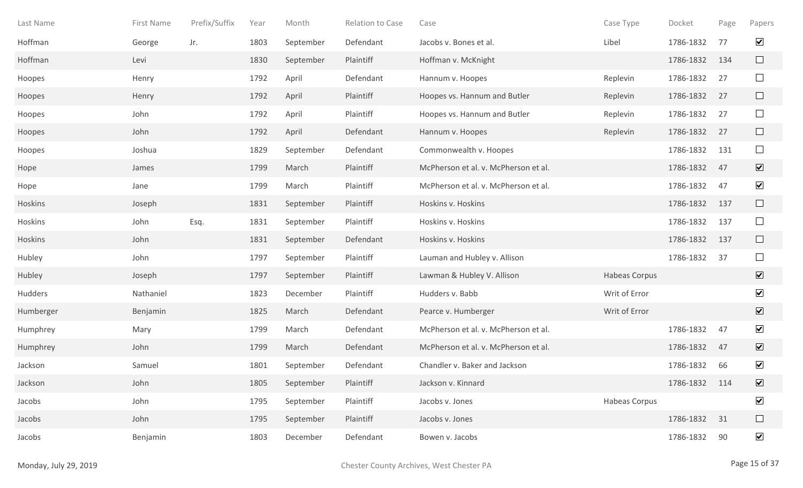| Last Name | First Name | Prefix/Suffix | Year | Month     | Relation to Case | Case                                 | Case Type     | Docket        | Page | Papers                       |
|-----------|------------|---------------|------|-----------|------------------|--------------------------------------|---------------|---------------|------|------------------------------|
| Hoffman   | George     | Jr.           | 1803 | September | Defendant        | Jacobs v. Bones et al.               | Libel         | 1786-1832     | 77   | $\blacktriangledown$         |
| Hoffman   | Levi       |               | 1830 | September | Plaintiff        | Hoffman v. McKnight                  |               | 1786-1832     | 134  | $\Box$                       |
| Hoopes    | Henry      |               | 1792 | April     | Defendant        | Hannum v. Hoopes                     | Replevin      | 1786-1832     | 27   | $\Box$                       |
| Hoopes    | Henry      |               | 1792 | April     | Plaintiff        | Hoopes vs. Hannum and Butler         | Replevin      | 1786-1832     | 27   | $\Box$                       |
| Hoopes    | John       |               | 1792 | April     | Plaintiff        | Hoopes vs. Hannum and Butler         | Replevin      | 1786-1832     | 27   | $\Box$                       |
| Hoopes    | John       |               | 1792 | April     | Defendant        | Hannum v. Hoopes                     | Replevin      | 1786-1832     | 27   | $\Box$                       |
| Hoopes    | Joshua     |               | 1829 | September | Defendant        | Commonwealth v. Hoopes               |               | 1786-1832     | 131  | $\Box$                       |
| Hope      | James      |               | 1799 | March     | Plaintiff        | McPherson et al. v. McPherson et al. |               | 1786-1832     | 47   | $\overline{\mathbf{v}}$      |
| Hope      | Jane       |               | 1799 | March     | Plaintiff        | McPherson et al. v. McPherson et al. |               | 1786-1832     | 47   | $\blacktriangledown$         |
| Hoskins   | Joseph     |               | 1831 | September | Plaintiff        | Hoskins v. Hoskins                   |               | 1786-1832     | 137  | $\Box$                       |
| Hoskins   | John       | Esq.          | 1831 | September | Plaintiff        | Hoskins v. Hoskins                   |               | 1786-1832     | 137  | $\Box$                       |
| Hoskins   | John       |               | 1831 | September | Defendant        | Hoskins v. Hoskins                   |               | 1786-1832     | 137  | $\Box$                       |
| Hubley    | John       |               | 1797 | September | Plaintiff        | Lauman and Hubley v. Allison         |               | 1786-1832     | 37   | $\Box$                       |
| Hubley    | Joseph     |               | 1797 | September | Plaintiff        | Lawman & Hubley V. Allison           | Habeas Corpus |               |      | $\overline{\mathbf{v}}$      |
| Hudders   | Nathaniel  |               | 1823 | December  | Plaintiff        | Hudders v. Babb                      | Writ of Error |               |      | $\blacktriangledown$         |
| Humberger | Benjamin   |               | 1825 | March     | Defendant        | Pearce v. Humberger                  | Writ of Error |               |      | $\blacktriangledown$         |
| Humphrey  | Mary       |               | 1799 | March     | Defendant        | McPherson et al. v. McPherson et al. |               | 1786-1832     | 47   | $\blacktriangledown$         |
| Humphrey  | John       |               | 1799 | March     | Defendant        | McPherson et al. v. McPherson et al. |               | 1786-1832     | 47   | $\overline{\mathbf{v}}$      |
| Jackson   | Samuel     |               | 1801 | September | Defendant        | Chandler v. Baker and Jackson        |               | 1786-1832     | 66   | $\blacktriangledown$         |
| Jackson   | John       |               | 1805 | September | Plaintiff        | Jackson v. Kinnard                   |               | 1786-1832 114 |      | $\boxed{\blacktriangledown}$ |
| Jacobs    | John       |               | 1795 | September | Plaintiff        | Jacobs v. Jones                      | Habeas Corpus |               |      | $\blacktriangledown$         |
| Jacobs    | John       |               | 1795 | September | Plaintiff        | Jacobs v. Jones                      |               | 1786-1832     | 31   | $\Box$                       |
| Jacobs    | Benjamin   |               | 1803 | December  | Defendant        | Bowen v. Jacobs                      |               | 1786-1832     | 90   | $\blacktriangledown$         |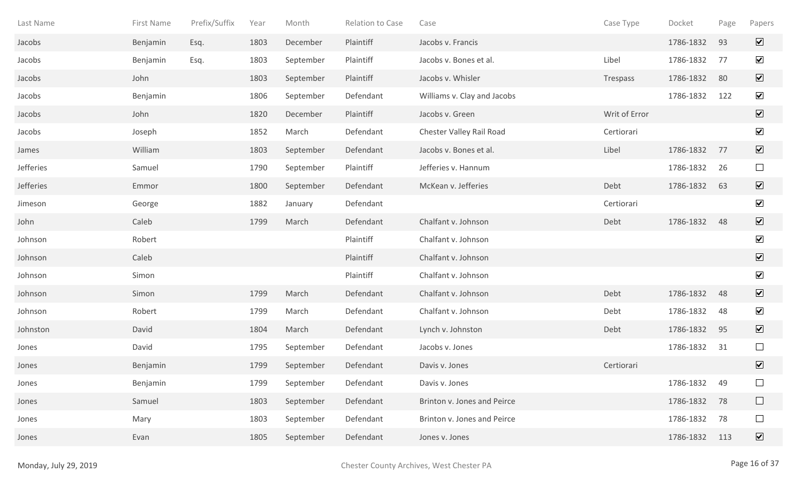| Last Name | First Name | Prefix/Suffix | Year | Month     | Relation to Case | Case                        | Case Type     | Docket    | Page | Papers                       |
|-----------|------------|---------------|------|-----------|------------------|-----------------------------|---------------|-----------|------|------------------------------|
| Jacobs    | Benjamin   | Esq.          | 1803 | December  | Plaintiff        | Jacobs v. Francis           |               | 1786-1832 | 93   | $\overline{\mathbf{v}}$      |
| Jacobs    | Benjamin   | Esq.          | 1803 | September | Plaintiff        | Jacobs v. Bones et al.      | Libel         | 1786-1832 | 77   | $\blacktriangledown$         |
| Jacobs    | John       |               | 1803 | September | Plaintiff        | Jacobs v. Whisler           | Trespass      | 1786-1832 | 80   | $\overline{\mathbf{v}}$      |
| Jacobs    | Benjamin   |               | 1806 | September | Defendant        | Williams v. Clay and Jacobs |               | 1786-1832 | 122  | $\blacktriangledown$         |
| Jacobs    | John       |               | 1820 | December  | Plaintiff        | Jacobs v. Green             | Writ of Error |           |      | $\boxed{\mathbf{v}}$         |
| Jacobs    | Joseph     |               | 1852 | March     | Defendant        | Chester Valley Rail Road    | Certiorari    |           |      | $\blacktriangledown$         |
| James     | William    |               | 1803 | September | Defendant        | Jacobs v. Bones et al.      | Libel         | 1786-1832 | 77   | $\boxed{\blacktriangledown}$ |
| Jefferies | Samuel     |               | 1790 | September | Plaintiff        | Jefferies v. Hannum         |               | 1786-1832 | 26   | $\Box$                       |
| Jefferies | Emmor      |               | 1800 | September | Defendant        | McKean v. Jefferies         | Debt          | 1786-1832 | 63   | $\boxed{\mathbf{v}}$         |
| Jimeson   | George     |               | 1882 | January   | Defendant        |                             | Certiorari    |           |      | $\blacktriangledown$         |
| John      | Caleb      |               | 1799 | March     | Defendant        | Chalfant v. Johnson         | Debt          | 1786-1832 | 48   | $\blacktriangledown$         |
| Johnson   | Robert     |               |      |           | Plaintiff        | Chalfant v. Johnson         |               |           |      | $\blacktriangledown$         |
| Johnson   | Caleb      |               |      |           | Plaintiff        | Chalfant v. Johnson         |               |           |      | $\overline{\mathbf{v}}$      |
| Johnson   | Simon      |               |      |           | Plaintiff        | Chalfant v. Johnson         |               |           |      | $\blacktriangledown$         |
| Johnson   | Simon      |               | 1799 | March     | Defendant        | Chalfant v. Johnson         | Debt          | 1786-1832 | 48   | $\sqrt{}$                    |
| Johnson   | Robert     |               | 1799 | March     | Defendant        | Chalfant v. Johnson         | Debt          | 1786-1832 | 48   | $\blacktriangledown$         |
| Johnston  | David      |               | 1804 | March     | Defendant        | Lynch v. Johnston           | Debt          | 1786-1832 | 95   | $\overline{\mathbf{v}}$      |
| Jones     | David      |               | 1795 | September | Defendant        | Jacobs v. Jones             |               | 1786-1832 | 31   | $\Box$                       |
| Jones     | Benjamin   |               | 1799 | September | Defendant        | Davis v. Jones              | Certiorari    |           |      | $\overline{\mathbf{v}}$      |
| Jones     | Benjamin   |               | 1799 | September | Defendant        | Davis v. Jones              |               | 1786-1832 | 49   | $\Box$                       |
| Jones     | Samuel     |               | 1803 | September | Defendant        | Brinton v. Jones and Peirce |               | 1786-1832 | 78   | $\Box$                       |
| Jones     | Mary       |               | 1803 | September | Defendant        | Brinton v. Jones and Peirce |               | 1786-1832 | 78   | $\Box$                       |
| Jones     | Evan       |               | 1805 | September | Defendant        | Jones v. Jones              |               | 1786-1832 | 113  | $\overline{\mathbf{v}}$      |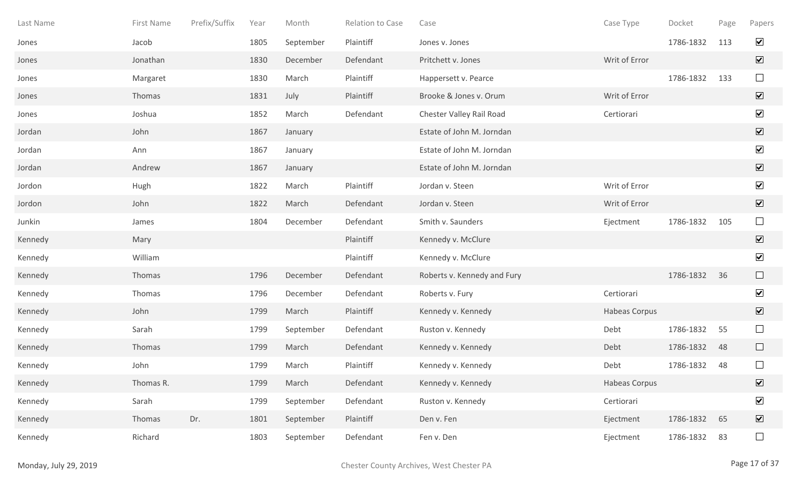| Last Name | First Name | Prefix/Suffix | Year | Month     | Relation to Case | Case                        | Case Type     | Docket    | Page | Papers                       |
|-----------|------------|---------------|------|-----------|------------------|-----------------------------|---------------|-----------|------|------------------------------|
| Jones     | Jacob      |               | 1805 | September | Plaintiff        | Jones v. Jones              |               | 1786-1832 | 113  | $\blacktriangledown$         |
| Jones     | Jonathan   |               | 1830 | December  | Defendant        | Pritchett v. Jones          | Writ of Error |           |      | $\overline{\mathbf{v}}$      |
| Jones     | Margaret   |               | 1830 | March     | Plaintiff        | Happersett v. Pearce        |               | 1786-1832 | 133  | $\Box$                       |
| Jones     | Thomas     |               | 1831 | July      | Plaintiff        | Brooke & Jones v. Orum      | Writ of Error |           |      | $\boxed{\blacktriangledown}$ |
| Jones     | Joshua     |               | 1852 | March     | Defendant        | Chester Valley Rail Road    | Certiorari    |           |      | $\blacktriangledown$         |
| Jordan    | John       |               | 1867 | January   |                  | Estate of John M. Jorndan   |               |           |      | $\boxed{\blacktriangledown}$ |
| Jordan    | Ann        |               | 1867 | January   |                  | Estate of John M. Jorndan   |               |           |      | $\blacktriangledown$         |
| Jordan    | Andrew     |               | 1867 | January   |                  | Estate of John M. Jorndan   |               |           |      | $\sqrt{}$                    |
| Jordon    | Hugh       |               | 1822 | March     | Plaintiff        | Jordan v. Steen             | Writ of Error |           |      | $\blacktriangledown$         |
| Jordon    | John       |               | 1822 | March     | Defendant        | Jordan v. Steen             | Writ of Error |           |      | $\boxed{\mathbf{v}}$         |
| Junkin    | James      |               | 1804 | December  | Defendant        | Smith v. Saunders           | Ejectment     | 1786-1832 | 105  | $\Box$                       |
| Kennedy   | Mary       |               |      |           | Plaintiff        | Kennedy v. McClure          |               |           |      | $\sqrt{}$                    |
| Kennedy   | William    |               |      |           | Plaintiff        | Kennedy v. McClure          |               |           |      | $\blacktriangledown$         |
| Kennedy   | Thomas     |               | 1796 | December  | Defendant        | Roberts v. Kennedy and Fury |               | 1786-1832 | 36   | $\Box$                       |
| Kennedy   | Thomas     |               | 1796 | December  | Defendant        | Roberts v. Fury             | Certiorari    |           |      | $\blacktriangledown$         |
| Kennedy   | John       |               | 1799 | March     | Plaintiff        | Kennedy v. Kennedy          | Habeas Corpus |           |      | $\blacktriangledown$         |
| Kennedy   | Sarah      |               | 1799 | September | Defendant        | Ruston v. Kennedy           | Debt          | 1786-1832 | 55   | $\Box$                       |
| Kennedy   | Thomas     |               | 1799 | March     | Defendant        | Kennedy v. Kennedy          | Debt          | 1786-1832 | 48   | $\Box$                       |
| Kennedy   | John       |               | 1799 | March     | Plaintiff        | Kennedy v. Kennedy          | Debt          | 1786-1832 | 48   | $\Box$                       |
| Kennedy   | Thomas R.  |               | 1799 | March     | Defendant        | Kennedy v. Kennedy          | Habeas Corpus |           |      | $\boxed{\blacktriangledown}$ |
| Kennedy   | Sarah      |               | 1799 | September | Defendant        | Ruston v. Kennedy           | Certiorari    |           |      | $\blacktriangledown$         |
| Kennedy   | Thomas     | Dr.           | 1801 | September | Plaintiff        | Den v. Fen                  | Ejectment     | 1786-1832 | 65   | $\boxed{\blacktriangledown}$ |
| Kennedy   | Richard    |               | 1803 | September | Defendant        | Fen v. Den                  | Ejectment     | 1786-1832 | 83   | $\Box$                       |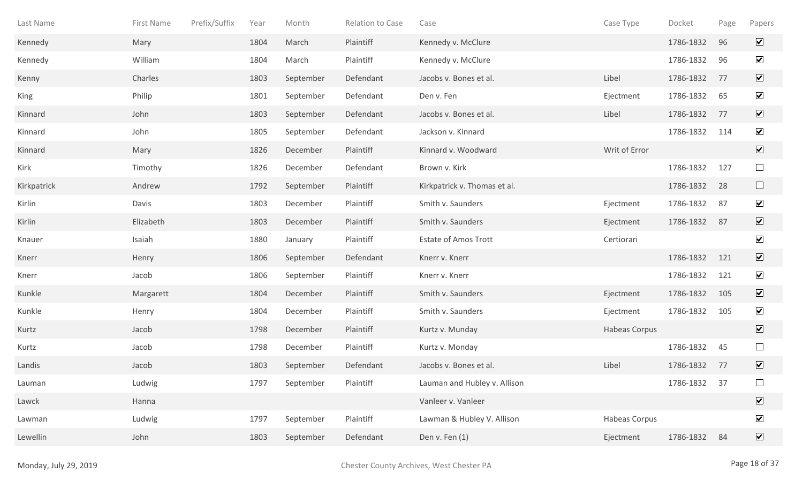| Last Name   | First Name | Prefix/Suffix | Year | Month     | <b>Relation to Case</b> | Case                         | Case Type            | Docket    | Page | Papers                       |
|-------------|------------|---------------|------|-----------|-------------------------|------------------------------|----------------------|-----------|------|------------------------------|
| Kennedy     | Mary       |               | 1804 | March     | Plaintiff               | Kennedy v. McClure           |                      | 1786-1832 | 96   | $\overline{\mathbf{v}}$      |
| Kennedy     | William    |               | 1804 | March     | Plaintiff               | Kennedy v. McClure           |                      | 1786-1832 | 96   | $\overline{\mathbf{v}}$      |
| Kenny       | Charles    |               | 1803 | September | Defendant               | Jacobs v. Bones et al.       | Libel                | 1786-1832 | 77   | $\overline{\mathbf{v}}$      |
| King        | Philip     |               | 1801 | September | Defendant               | Den v. Fen                   | Ejectment            | 1786-1832 | 65   | $\overline{\mathbf{v}}$      |
| Kinnard     | John       |               | 1803 | September | Defendant               | Jacobs v. Bones et al.       | Libel                | 1786-1832 | 77   | $\boxed{\mathbf{v}}$         |
| Kinnard     | John       |               | 1805 | September | Defendant               | Jackson v. Kinnard           |                      | 1786-1832 | 114  | $\blacktriangledown$         |
| Kinnard     | Mary       |               | 1826 | December  | Plaintiff               | Kinnard v. Woodward          | Writ of Error        |           |      | $\overline{\mathbf{v}}$      |
| Kirk        | Timothy    |               | 1826 | December  | Defendant               | Brown v. Kirk                |                      | 1786-1832 | 127  | $\Box$                       |
| Kirkpatrick | Andrew     |               | 1792 | September | Plaintiff               | Kirkpatrick v. Thomas et al. |                      | 1786-1832 | 28   | $\Box$                       |
| Kirlin      | Davis      |               | 1803 | December  | Plaintiff               | Smith v. Saunders            | Ejectment            | 1786-1832 | 87   | $\blacktriangledown$         |
| Kirlin      | Elizabeth  |               | 1803 | December  | Plaintiff               | Smith v. Saunders            | Ejectment            | 1786-1832 | 87   | $\sqrt{ }$                   |
| Knauer      | Isaiah     |               | 1880 | January   | Plaintiff               | <b>Estate of Amos Trott</b>  | Certiorari           |           |      | $\blacktriangledown$         |
| Knerr       | Henry      |               | 1806 | September | Defendant               | Knerr v. Knerr               |                      | 1786-1832 | 121  | $\overline{\mathbf{v}}$      |
| Knerr       | Jacob      |               | 1806 | September | Plaintiff               | Knerr v. Knerr               |                      | 1786-1832 | 121  | $\overline{\mathbf{v}}$      |
| Kunkle      | Margarett  |               | 1804 | December  | Plaintiff               | Smith v. Saunders            | Ejectment            | 1786-1832 | 105  | $\boxed{\mathbf{v}}$         |
| Kunkle      | Henry      |               | 1804 | December  | Plaintiff               | Smith v. Saunders            | Ejectment            | 1786-1832 | 105  | $\blacktriangledown$         |
| Kurtz       | Jacob      |               | 1798 | December  | Plaintiff               | Kurtz v. Munday              | <b>Habeas Corpus</b> |           |      | $\overline{\mathbf{v}}$      |
| Kurtz       | Jacob      |               | 1798 | December  | Plaintiff               | Kurtz v. Monday              |                      | 1786-1832 | 45   | $\Box$                       |
| Landis      | Jacob      |               | 1803 | September | Defendant               | Jacobs v. Bones et al.       | Libel                | 1786-1832 | 77   | $\boxed{\blacktriangledown}$ |
| Lauman      | Ludwig     |               | 1797 | September | Plaintiff               | Lauman and Hubley v. Allison |                      | 1786-1832 | 37   |                              |
| Lawck       | Hanna      |               |      |           |                         | Vanleer v. Vanleer           |                      |           |      | $\overline{\mathbf{v}}$      |
| Lawman      | Ludwig     |               | 1797 | September | Plaintiff               | Lawman & Hubley V. Allison   | Habeas Corpus        |           |      | $\blacktriangledown$         |
| Lewellin    | John       |               | 1803 | September | Defendant               | Den v. Fen (1)               | Ejectment            | 1786-1832 | 84   | $\overline{\mathbf{v}}$      |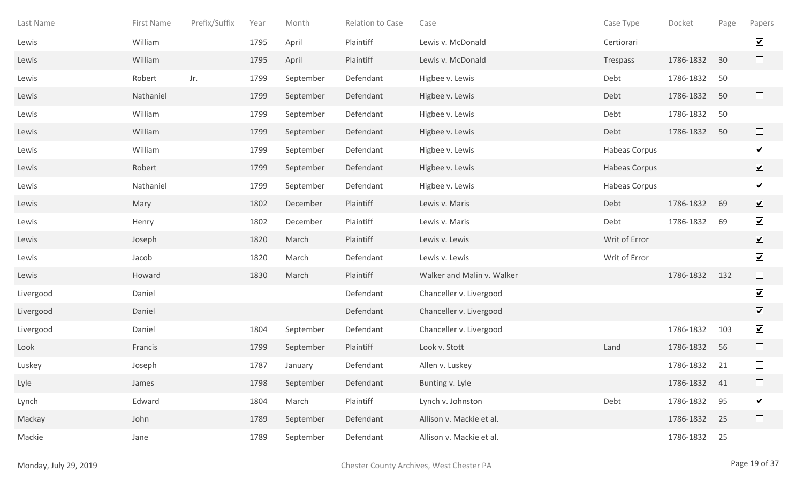| Last Name | First Name | Prefix/Suffix | Year | Month     | Relation to Case | Case                       | Case Type     | Docket       | Page | Papers               |
|-----------|------------|---------------|------|-----------|------------------|----------------------------|---------------|--------------|------|----------------------|
| Lewis     | William    |               | 1795 | April     | Plaintiff        | Lewis v. McDonald          | Certiorari    |              |      | $\blacktriangledown$ |
| Lewis     | William    |               | 1795 | April     | Plaintiff        | Lewis v. McDonald          | Trespass      | 1786-1832    | 30   | $\Box$               |
| Lewis     | Robert     | Jr.           | 1799 | September | Defendant        | Higbee v. Lewis            | Debt          | 1786-1832    | 50   | $\Box$               |
| Lewis     | Nathaniel  |               | 1799 | September | Defendant        | Higbee v. Lewis            | Debt          | 1786-1832    | 50   | $\Box$               |
| Lewis     | William    |               | 1799 | September | Defendant        | Higbee v. Lewis            | Debt          | 1786-1832    | 50   | $\Box$               |
| Lewis     | William    |               | 1799 | September | Defendant        | Higbee v. Lewis            | Debt          | 1786-1832    | 50   | $\Box$               |
| Lewis     | William    |               | 1799 | September | Defendant        | Higbee v. Lewis            | Habeas Corpus |              |      | $\blacktriangledown$ |
| Lewis     | Robert     |               | 1799 | September | Defendant        | Higbee v. Lewis            | Habeas Corpus |              |      | $\blacktriangledown$ |
| Lewis     | Nathaniel  |               | 1799 | September | Defendant        | Higbee v. Lewis            | Habeas Corpus |              |      | $\blacktriangledown$ |
| Lewis     | Mary       |               | 1802 | December  | Plaintiff        | Lewis v. Maris             | Debt          | 1786-1832    | 69   | $\blacktriangledown$ |
| Lewis     | Henry      |               | 1802 | December  | Plaintiff        | Lewis v. Maris             | Debt          | 1786-1832    | 69   | $\blacktriangledown$ |
| Lewis     | Joseph     |               | 1820 | March     | Plaintiff        | Lewis v. Lewis             | Writ of Error |              |      | $\blacktriangledown$ |
| Lewis     | Jacob      |               | 1820 | March     | Defendant        | Lewis v. Lewis             | Writ of Error |              |      | $\blacktriangledown$ |
| Lewis     | Howard     |               | 1830 | March     | Plaintiff        | Walker and Malin v. Walker |               | 1786-1832    | 132  | $\Box$               |
| Livergood | Daniel     |               |      |           | Defendant        | Chanceller v. Livergood    |               |              |      | $\blacktriangledown$ |
| Livergood | Daniel     |               |      |           | Defendant        | Chanceller v. Livergood    |               |              |      | $\blacktriangledown$ |
| Livergood | Daniel     |               | 1804 | September | Defendant        | Chanceller v. Livergood    |               | 1786-1832    | 103  | $\blacktriangledown$ |
| Look      | Francis    |               | 1799 | September | Plaintiff        | Look v. Stott              | Land          | 1786-1832    | 56   | $\Box$               |
| Luskey    | Joseph     |               | 1787 | January   | Defendant        | Allen v. Luskey            |               | 1786-1832    | 21   | $\Box$               |
| Lyle      | James      |               | 1798 | September | Defendant        | Bunting v. Lyle            |               | 1786-1832 41 |      | $\Box$               |
| Lynch     | Edward     |               | 1804 | March     | Plaintiff        | Lynch v. Johnston          | Debt          | 1786-1832    | 95   | $\blacktriangledown$ |
| Mackay    | John       |               | 1789 | September | Defendant        | Allison v. Mackie et al.   |               | 1786-1832    | 25   | $\Box$               |
| Mackie    | Jane       |               | 1789 | September | Defendant        | Allison v. Mackie et al.   |               | 1786-1832    | 25   | $\Box$               |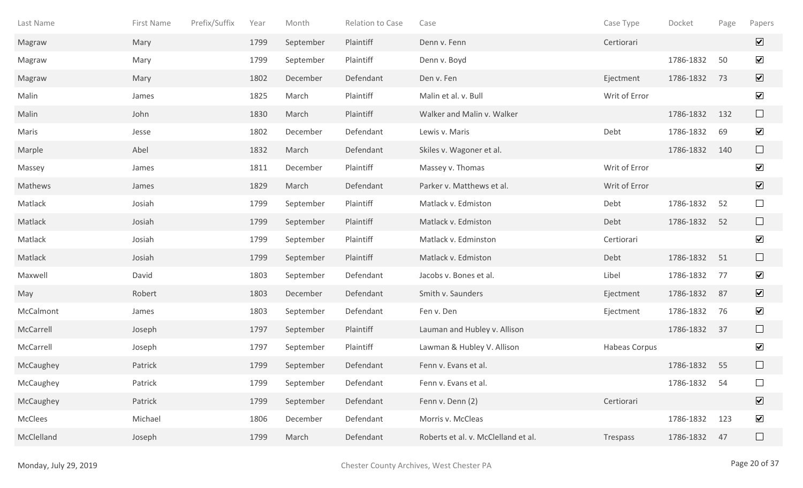| Last Name  | First Name | Prefix/Suffix | Year | Month     | Relation to Case | Case                                | Case Type            | Docket    | Page | Papers                  |
|------------|------------|---------------|------|-----------|------------------|-------------------------------------|----------------------|-----------|------|-------------------------|
| Magraw     | Mary       |               | 1799 | September | Plaintiff        | Denn v. Fenn                        | Certiorari           |           |      | $\overline{\mathbf{v}}$ |
| Magraw     | Mary       |               | 1799 | September | Plaintiff        | Denn v. Boyd                        |                      | 1786-1832 | 50   | $\blacktriangledown$    |
| Magraw     | Mary       |               | 1802 | December  | Defendant        | Den v. Fen                          | Ejectment            | 1786-1832 | 73   | $\overline{\mathbf{v}}$ |
| Malin      | James      |               | 1825 | March     | Plaintiff        | Malin et al. v. Bull                | Writ of Error        |           |      | $\blacktriangledown$    |
| Malin      | John       |               | 1830 | March     | Plaintiff        | Walker and Malin v. Walker          |                      | 1786-1832 | 132  | $\Box$                  |
| Maris      | Jesse      |               | 1802 | December  | Defendant        | Lewis v. Maris                      | Debt                 | 1786-1832 | 69   | $\blacktriangledown$    |
| Marple     | Abel       |               | 1832 | March     | Defendant        | Skiles v. Wagoner et al.            |                      | 1786-1832 | 140  | $\Box$                  |
| Massey     | James      |               | 1811 | December  | Plaintiff        | Massey v. Thomas                    | Writ of Error        |           |      | $\blacktriangledown$    |
| Mathews    | James      |               | 1829 | March     | Defendant        | Parker v. Matthews et al.           | Writ of Error        |           |      | $\overline{\mathbf{v}}$ |
| Matlack    | Josiah     |               | 1799 | September | Plaintiff        | Matlack v. Edmiston                 | Debt                 | 1786-1832 | 52   | $\Box$                  |
| Matlack    | Josiah     |               | 1799 | September | Plaintiff        | Matlack v. Edmiston                 | Debt                 | 1786-1832 | 52   | $\Box$                  |
| Matlack    | Josiah     |               | 1799 | September | Plaintiff        | Matlack v. Edminston                | Certiorari           |           |      | $\blacktriangledown$    |
| Matlack    | Josiah     |               | 1799 | September | Plaintiff        | Matlack v. Edmiston                 | Debt                 | 1786-1832 | 51   | $\Box$                  |
| Maxwell    | David      |               | 1803 | September | Defendant        | Jacobs v. Bones et al.              | Libel                | 1786-1832 | 77   | $\blacktriangledown$    |
| May        | Robert     |               | 1803 | December  | Defendant        | Smith v. Saunders                   | Ejectment            | 1786-1832 | 87   | $\overline{\mathbf{v}}$ |
| McCalmont  | James      |               | 1803 | September | Defendant        | Fen v. Den                          | Ejectment            | 1786-1832 | 76   | $\blacktriangledown$    |
| McCarrell  | Joseph     |               | 1797 | September | Plaintiff        | Lauman and Hubley v. Allison        |                      | 1786-1832 | 37   |                         |
| McCarrell  | Joseph     |               | 1797 | September | Plaintiff        | Lawman & Hubley V. Allison          | <b>Habeas Corpus</b> |           |      | $\blacktriangledown$    |
| McCaughey  | Patrick    |               | 1799 | September | Defendant        | Fenn v. Evans et al.                |                      | 1786-1832 | 55   |                         |
| McCaughey  | Patrick    |               | 1799 | September | Defendant        | Fenn v. Evans et al.                |                      | 1786-1832 | 54   |                         |
| McCaughey  | Patrick    |               | 1799 | September | Defendant        | Fenn v. Denn (2)                    | Certiorari           |           |      | $\overline{\mathbf{v}}$ |
| McClees    | Michael    |               | 1806 | December  | Defendant        | Morris v. McCleas                   |                      | 1786-1832 | 123  | $\blacktriangledown$    |
| McClelland | Joseph     |               | 1799 | March     | Defendant        | Roberts et al. v. McClelland et al. | Trespass             | 1786-1832 | 47   | $\Box$                  |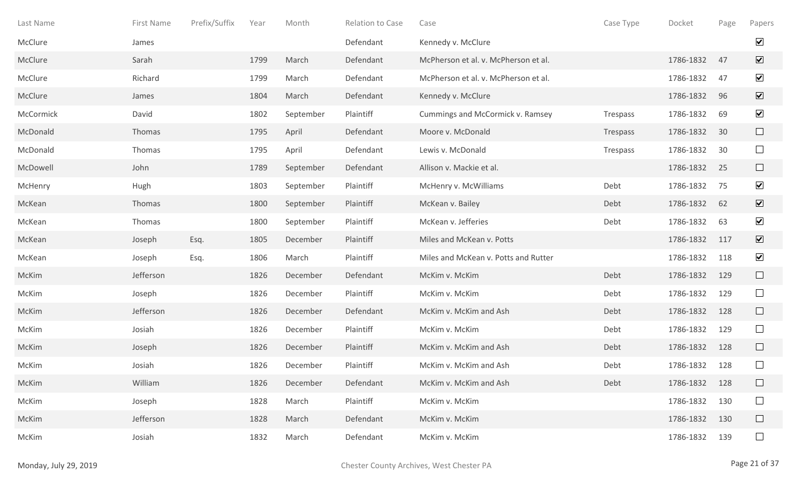| Last Name | First Name | Prefix/Suffix | Year | Month     | <b>Relation to Case</b> | Case                                 | Case Type | Docket        | Page | Papers                  |
|-----------|------------|---------------|------|-----------|-------------------------|--------------------------------------|-----------|---------------|------|-------------------------|
| McClure   | James      |               |      |           | Defendant               | Kennedy v. McClure                   |           |               |      | $\blacktriangledown$    |
| McClure   | Sarah      |               | 1799 | March     | Defendant               | McPherson et al. v. McPherson et al. |           | 1786-1832     | 47   | $\overline{\mathbf{v}}$ |
| McClure   | Richard    |               | 1799 | March     | Defendant               | McPherson et al. v. McPherson et al. |           | 1786-1832     | 47   | $\blacktriangledown$    |
| McClure   | James      |               | 1804 | March     | Defendant               | Kennedy v. McClure                   |           | 1786-1832     | 96   | $\overline{\mathbf{v}}$ |
| McCormick | David      |               | 1802 | September | Plaintiff               | Cummings and McCormick v. Ramsey     | Trespass  | 1786-1832     | 69   | $\blacktriangledown$    |
| McDonald  | Thomas     |               | 1795 | April     | Defendant               | Moore v. McDonald                    | Trespass  | 1786-1832     | 30   | $\Box$                  |
| McDonald  | Thomas     |               | 1795 | April     | Defendant               | Lewis v. McDonald                    | Trespass  | 1786-1832     | 30   | $\Box$                  |
| McDowell  | John       |               | 1789 | September | Defendant               | Allison v. Mackie et al.             |           | 1786-1832     | 25   | $\Box$                  |
| McHenry   | Hugh       |               | 1803 | September | Plaintiff               | McHenry v. McWilliams                | Debt      | 1786-1832     | 75   | $\blacktriangledown$    |
| McKean    | Thomas     |               | 1800 | September | Plaintiff               | McKean v. Bailey                     | Debt      | 1786-1832     | 62   | $\overline{\mathbf{v}}$ |
| McKean    | Thomas     |               | 1800 | September | Plaintiff               | McKean v. Jefferies                  | Debt      | 1786-1832     | 63   | $\blacktriangledown$    |
| McKean    | Joseph     | Esq.          | 1805 | December  | Plaintiff               | Miles and McKean v. Potts            |           | 1786-1832     | 117  | $\overline{\mathbf{v}}$ |
| McKean    | Joseph     | Esq.          | 1806 | March     | Plaintiff               | Miles and McKean v. Potts and Rutter |           | 1786-1832     | 118  | $\blacktriangledown$    |
| McKim     | Jefferson  |               | 1826 | December  | Defendant               | McKim v. McKim                       | Debt      | 1786-1832     | 129  | $\Box$                  |
| McKim     | Joseph     |               | 1826 | December  | Plaintiff               | McKim v. McKim                       | Debt      | 1786-1832     | 129  | $\Box$                  |
| McKim     | Jefferson  |               | 1826 | December  | Defendant               | McKim v. McKim and Ash               | Debt      | 1786-1832     | 128  | $\Box$                  |
| McKim     | Josiah     |               | 1826 | December  | Plaintiff               | McKim v. McKim                       | Debt      | 1786-1832     | 129  | $\Box$                  |
| McKim     | Joseph     |               | 1826 | December  | Plaintiff               | McKim v. McKim and Ash               | Debt      | 1786-1832     | 128  | $\Box$                  |
| McKim     | Josiah     |               | 1826 | December  | Plaintiff               | McKim v. McKim and Ash               | Debt      | 1786-1832     | 128  | $\Box$                  |
| McKim     | William    |               | 1826 | December  | Defendant               | McKim v. McKim and Ash               | Debt      | 1786-1832 128 |      | $\Box$                  |
| McKim     | Joseph     |               | 1828 | March     | Plaintiff               | McKim v. McKim                       |           | 1786-1832     | 130  | $\Box$                  |
| McKim     | Jefferson  |               | 1828 | March     | Defendant               | McKim v. McKim                       |           | 1786-1832     | 130  | $\Box$                  |
| McKim     | Josiah     |               | 1832 | March     | Defendant               | McKim v. McKim                       |           | 1786-1832     | 139  | $\Box$                  |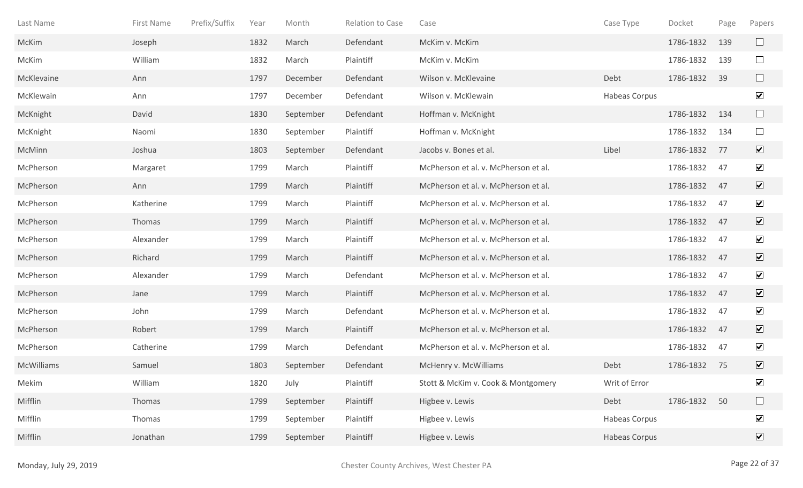| Last Name         | First Name | Prefix/Suffix | Year | Month     | <b>Relation to Case</b> | Case                                 | Case Type            | Docket    | Page | Papers                       |
|-------------------|------------|---------------|------|-----------|-------------------------|--------------------------------------|----------------------|-----------|------|------------------------------|
| McKim             | Joseph     |               | 1832 | March     | Defendant               | McKim v. McKim                       |                      | 1786-1832 | 139  | ⊔                            |
| McKim             | William    |               | 1832 | March     | Plaintiff               | McKim v. McKim                       |                      | 1786-1832 | 139  | $\Box$                       |
| McKlevaine        | Ann        |               | 1797 | December  | Defendant               | Wilson v. McKlevaine                 | Debt                 | 1786-1832 | 39   | $\Box$                       |
| McKlewain         | Ann        |               | 1797 | December  | Defendant               | Wilson v. McKlewain                  | <b>Habeas Corpus</b> |           |      | $\blacktriangledown$         |
| McKnight          | David      |               | 1830 | September | Defendant               | Hoffman v. McKnight                  |                      | 1786-1832 | 134  | $\Box$                       |
| McKnight          | Naomi      |               | 1830 | September | Plaintiff               | Hoffman v. McKnight                  |                      | 1786-1832 | 134  | $\Box$                       |
| McMinn            | Joshua     |               | 1803 | September | Defendant               | Jacobs v. Bones et al.               | Libel                | 1786-1832 | 77   | $\boxed{\blacktriangledown}$ |
| McPherson         | Margaret   |               | 1799 | March     | Plaintiff               | McPherson et al. v. McPherson et al. |                      | 1786-1832 | 47   | $\blacktriangledown$         |
| McPherson         | Ann        |               | 1799 | March     | Plaintiff               | McPherson et al. v. McPherson et al. |                      | 1786-1832 | 47   | $\boxed{\mathbf{v}}$         |
| McPherson         | Katherine  |               | 1799 | March     | Plaintiff               | McPherson et al. v. McPherson et al. |                      | 1786-1832 | 47   | $\blacktriangledown$         |
| McPherson         | Thomas     |               | 1799 | March     | Plaintiff               | McPherson et al. v. McPherson et al. |                      | 1786-1832 | 47   | $\overline{\mathbf{v}}$      |
| McPherson         | Alexander  |               | 1799 | March     | Plaintiff               | McPherson et al. v. McPherson et al. |                      | 1786-1832 | 47   | $\overline{\mathbf{v}}$      |
| McPherson         | Richard    |               | 1799 | March     | Plaintiff               | McPherson et al. v. McPherson et al. |                      | 1786-1832 | 47   | $\overline{\mathbf{v}}$      |
| McPherson         | Alexander  |               | 1799 | March     | Defendant               | McPherson et al. v. McPherson et al. |                      | 1786-1832 | 47   | $\overline{\mathbf{v}}$      |
| McPherson         | Jane       |               | 1799 | March     | Plaintiff               | McPherson et al. v. McPherson et al. |                      | 1786-1832 | 47   | $\triangledown$              |
| McPherson         | John       |               | 1799 | March     | Defendant               | McPherson et al. v. McPherson et al. |                      | 1786-1832 | 47   | $\blacktriangledown$         |
| McPherson         | Robert     |               | 1799 | March     | Plaintiff               | McPherson et al. v. McPherson et al. |                      | 1786-1832 | 47   | $\boxed{\mathbf{v}}$         |
| McPherson         | Catherine  |               | 1799 | March     | Defendant               | McPherson et al. v. McPherson et al. |                      | 1786-1832 | 47   | $\blacktriangledown$         |
| <b>McWilliams</b> | Samuel     |               | 1803 | September | Defendant               | McHenry v. McWilliams                | Debt                 | 1786-1832 | 75   | $\boxed{\blacktriangledown}$ |
| Mekim             | William    |               | 1820 | July      | Plaintiff               | Stott & McKim v. Cook & Montgomery   | Writ of Error        |           |      | $\blacktriangledown$         |
| Mifflin           | Thomas     |               | 1799 | September | Plaintiff               | Higbee v. Lewis                      | Debt                 | 1786-1832 | 50   | $\Box$                       |
| Mifflin           | Thomas     |               | 1799 | September | Plaintiff               | Higbee v. Lewis                      | <b>Habeas Corpus</b> |           |      | $\overline{\mathbf{v}}$      |
| Mifflin           | Jonathan   |               | 1799 | September | Plaintiff               | Higbee v. Lewis                      | Habeas Corpus        |           |      | $\boxed{\blacktriangledown}$ |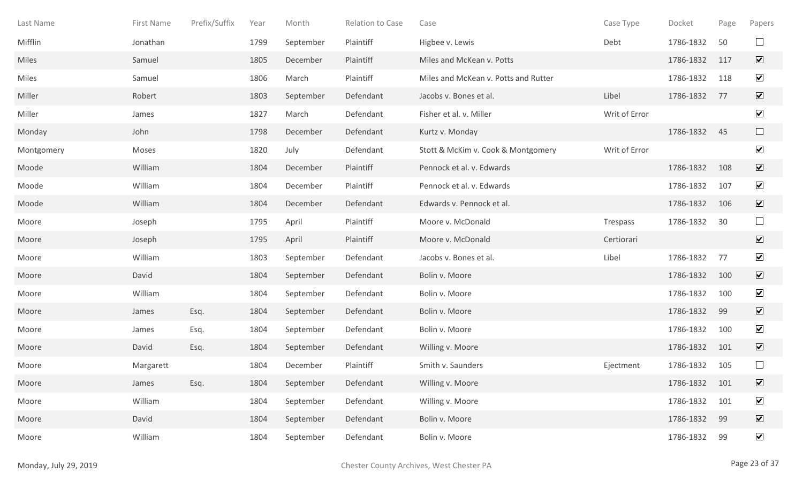| Last Name  | First Name | Prefix/Suffix | Year | Month     | Relation to Case | Case                                 | Case Type     | Docket    | Page | Papers                       |
|------------|------------|---------------|------|-----------|------------------|--------------------------------------|---------------|-----------|------|------------------------------|
| Mifflin    | Jonathan   |               | 1799 | September | Plaintiff        | Higbee v. Lewis                      | Debt          | 1786-1832 | 50   | $\Box$                       |
| Miles      | Samuel     |               | 1805 | December  | Plaintiff        | Miles and McKean v. Potts            |               | 1786-1832 | 117  | $\overline{\mathbf{v}}$      |
| Miles      | Samuel     |               | 1806 | March     | Plaintiff        | Miles and McKean v. Potts and Rutter |               | 1786-1832 | 118  | $\blacktriangledown$         |
| Miller     | Robert     |               | 1803 | September | Defendant        | Jacobs v. Bones et al.               | Libel         | 1786-1832 | 77   | $\overline{\mathbf{v}}$      |
| Miller     | James      |               | 1827 | March     | Defendant        | Fisher et al. v. Miller              | Writ of Error |           |      | $\blacktriangledown$         |
| Monday     | John       |               | 1798 | December  | Defendant        | Kurtz v. Monday                      |               | 1786-1832 | 45   | $\Box$                       |
| Montgomery | Moses      |               | 1820 | July      | Defendant        | Stott & McKim v. Cook & Montgomery   | Writ of Error |           |      | $\blacktriangledown$         |
| Moode      | William    |               | 1804 | December  | Plaintiff        | Pennock et al. v. Edwards            |               | 1786-1832 | 108  | $\overline{\mathbf{v}}$      |
| Moode      | William    |               | 1804 | December  | Plaintiff        | Pennock et al. v. Edwards            |               | 1786-1832 | 107  | $\blacktriangledown$         |
| Moode      | William    |               | 1804 | December  | Defendant        | Edwards v. Pennock et al.            |               | 1786-1832 | 106  | $\overline{\mathbf{v}}$      |
| Moore      | Joseph     |               | 1795 | April     | Plaintiff        | Moore v. McDonald                    | Trespass      | 1786-1832 | 30   | $\Box$                       |
| Moore      | Joseph     |               | 1795 | April     | Plaintiff        | Moore v. McDonald                    | Certiorari    |           |      | $\overline{\mathbf{v}}$      |
| Moore      | William    |               | 1803 | September | Defendant        | Jacobs v. Bones et al.               | Libel         | 1786-1832 | 77   | $\blacktriangledown$         |
| Moore      | David      |               | 1804 | September | Defendant        | Bolin v. Moore                       |               | 1786-1832 | 100  | $\overline{\mathbf{v}}$      |
| Moore      | William    |               | 1804 | September | Defendant        | Bolin v. Moore                       |               | 1786-1832 | 100  | $\blacktriangledown$         |
| Moore      | James      | Esq.          | 1804 | September | Defendant        | Bolin v. Moore                       |               | 1786-1832 | 99   | $\overline{\mathbf{v}}$      |
| Moore      | James      | Esq.          | 1804 | September | Defendant        | Bolin v. Moore                       |               | 1786-1832 | 100  | $\blacktriangledown$         |
| Moore      | David      | Esq.          | 1804 | September | Defendant        | Willing v. Moore                     |               | 1786-1832 | 101  | $\overline{\mathbf{v}}$      |
| Moore      | Margarett  |               | 1804 | December  | Plaintiff        | Smith v. Saunders                    | Ejectment     | 1786-1832 | 105  | $\Box$                       |
| Moore      | James      | Esq.          | 1804 | September | Defendant        | Willing v. Moore                     |               | 1786-1832 | 101  | $\boxed{\mathbf{v}}$         |
| Moore      | William    |               | 1804 | September | Defendant        | Willing v. Moore                     |               | 1786-1832 | 101  | $\blacktriangledown$         |
| Moore      | David      |               | 1804 | September | Defendant        | Bolin v. Moore                       |               | 1786-1832 | 99   | $\boxed{\blacktriangledown}$ |
| Moore      | William    |               | 1804 | September | Defendant        | Bolin v. Moore                       |               | 1786-1832 | 99   | $\blacktriangledown$         |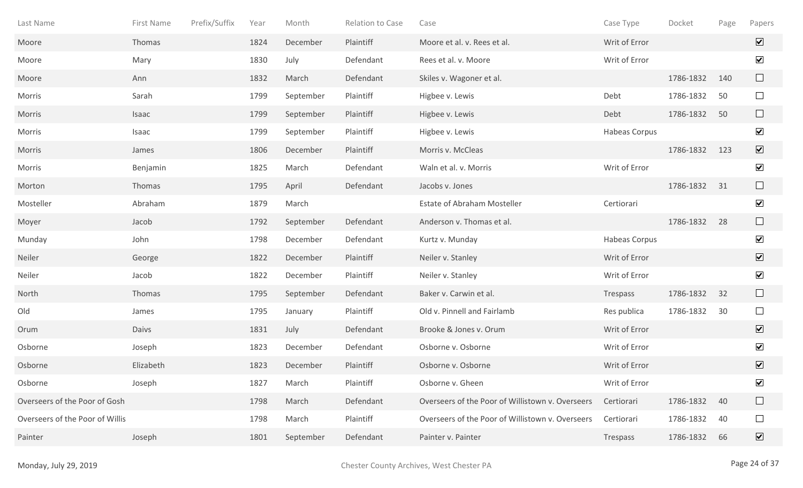| Last Name                       | First Name | Prefix/Suffix | Year | Month     | Relation to Case | Case                                             | Case Type            | Docket    | Page | Papers                       |
|---------------------------------|------------|---------------|------|-----------|------------------|--------------------------------------------------|----------------------|-----------|------|------------------------------|
| Moore                           | Thomas     |               | 1824 | December  | Plaintiff        | Moore et al. v. Rees et al.                      | Writ of Error        |           |      | $\overline{\mathbf{v}}$      |
| Moore                           | Mary       |               | 1830 | July      | Defendant        | Rees et al. v. Moore                             | Writ of Error        |           |      | $\blacktriangledown$         |
| Moore                           | Ann        |               | 1832 | March     | Defendant        | Skiles v. Wagoner et al.                         |                      | 1786-1832 | 140  | $\Box$                       |
| Morris                          | Sarah      |               | 1799 | September | Plaintiff        | Higbee v. Lewis                                  | Debt                 | 1786-1832 | 50   | $\Box$                       |
| Morris                          | Isaac      |               | 1799 | September | Plaintiff        | Higbee v. Lewis                                  | Debt                 | 1786-1832 | 50   | $\Box$                       |
| Morris                          | Isaac      |               | 1799 | September | Plaintiff        | Higbee v. Lewis                                  | <b>Habeas Corpus</b> |           |      | $\blacktriangledown$         |
| Morris                          | James      |               | 1806 | December  | Plaintiff        | Morris v. McCleas                                |                      | 1786-1832 | 123  | $\boxed{\blacktriangledown}$ |
| Morris                          | Benjamin   |               | 1825 | March     | Defendant        | Waln et al. v. Morris                            | Writ of Error        |           |      | $\blacktriangledown$         |
| Morton                          | Thomas     |               | 1795 | April     | Defendant        | Jacobs v. Jones                                  |                      | 1786-1832 | 31   |                              |
| Mosteller                       | Abraham    |               | 1879 | March     |                  | <b>Estate of Abraham Mosteller</b>               | Certiorari           |           |      | $\blacktriangledown$         |
| Moyer                           | Jacob      |               | 1792 | September | Defendant        | Anderson v. Thomas et al.                        |                      | 1786-1832 | 28   | $\Box$                       |
| Munday                          | John       |               | 1798 | December  | Defendant        | Kurtz v. Munday                                  | <b>Habeas Corpus</b> |           |      | $\overline{\mathbf{v}}$      |
| Neiler                          | George     |               | 1822 | December  | Plaintiff        | Neiler v. Stanley                                | Writ of Error        |           |      | $\overline{\mathbf{v}}$      |
| Neiler                          | Jacob      |               | 1822 | December  | Plaintiff        | Neiler v. Stanley                                | Writ of Error        |           |      | $\blacktriangledown$         |
| North                           | Thomas     |               | 1795 | September | Defendant        | Baker v. Carwin et al.                           | Trespass             | 1786-1832 | 32   | $\Box$                       |
| Old                             | James      |               | 1795 | January   | Plaintiff        | Old v. Pinnell and Fairlamb                      | Res publica          | 1786-1832 | 30   | $\Box$                       |
| Orum                            | Daivs      |               | 1831 | July      | Defendant        | Brooke & Jones v. Orum                           | Writ of Error        |           |      | $\overline{\mathbf{v}}$      |
| Osborne                         | Joseph     |               | 1823 | December  | Defendant        | Osborne v. Osborne                               | Writ of Error        |           |      | $\blacktriangledown$         |
| Osborne                         | Elizabeth  |               | 1823 | December  | Plaintiff        | Osborne v. Osborne                               | Writ of Error        |           |      | $\overline{\mathbf{v}}$      |
| Osborne                         | Joseph     |               | 1827 | March     | Plaintiff        | Osborne v. Gheen                                 | Writ of Error        |           |      | $\blacktriangledown$         |
| Overseers of the Poor of Gosh   |            |               | 1798 | March     | Defendant        | Overseers of the Poor of Willistown v. Overseers | Certiorari           | 1786-1832 | 40   |                              |
| Overseers of the Poor of Willis |            |               | 1798 | March     | Plaintiff        | Overseers of the Poor of Willistown v. Overseers | Certiorari           | 1786-1832 | 40   | $\Box$                       |
| Painter                         | Joseph     |               | 1801 | September | Defendant        | Painter v. Painter                               | Trespass             | 1786-1832 | 66   | $\boxed{\blacktriangledown}$ |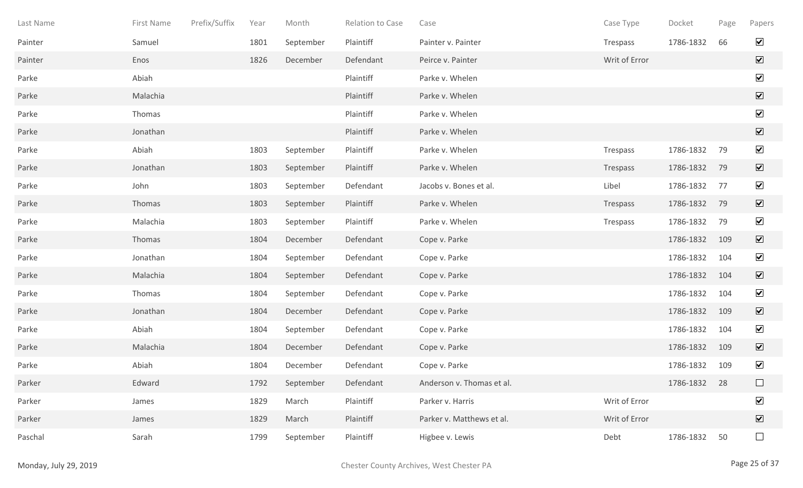| Last Name | First Name | Prefix/Suffix | Year | Month     | Relation to Case | Case                      | Case Type     | Docket       | Page | Papers                          |
|-----------|------------|---------------|------|-----------|------------------|---------------------------|---------------|--------------|------|---------------------------------|
| Painter   | Samuel     |               | 1801 | September | Plaintiff        | Painter v. Painter        | Trespass      | 1786-1832    | 66   | $\blacktriangledown$            |
| Painter   | Enos       |               | 1826 | December  | Defendant        | Peirce v. Painter         | Writ of Error |              |      | $\boxed{\blacktriangledown}$    |
| Parke     | Abiah      |               |      |           | Plaintiff        | Parke v. Whelen           |               |              |      | $\blacktriangledown$            |
| Parke     | Malachia   |               |      |           | Plaintiff        | Parke v. Whelen           |               |              |      | $\overline{\blacktriangledown}$ |
| Parke     | Thomas     |               |      |           | Plaintiff        | Parke v. Whelen           |               |              |      | $\blacktriangledown$            |
| Parke     | Jonathan   |               |      |           | Plaintiff        | Parke v. Whelen           |               |              |      | $\boxed{\blacktriangledown}$    |
| Parke     | Abiah      |               | 1803 | September | Plaintiff        | Parke v. Whelen           | Trespass      | 1786-1832    | 79   | $\blacktriangledown$            |
| Parke     | Jonathan   |               | 1803 | September | Plaintiff        | Parke v. Whelen           | Trespass      | 1786-1832    | 79   | $\overline{\mathbf{v}}$         |
| Parke     | John       |               | 1803 | September | Defendant        | Jacobs v. Bones et al.    | Libel         | 1786-1832    | 77   | $\blacktriangledown$            |
| Parke     | Thomas     |               | 1803 | September | Plaintiff        | Parke v. Whelen           | Trespass      | 1786-1832    | 79   | $\boxed{\blacktriangledown}$    |
| Parke     | Malachia   |               | 1803 | September | Plaintiff        | Parke v. Whelen           | Trespass      | 1786-1832    | 79   | $\blacktriangledown$            |
| Parke     | Thomas     |               | 1804 | December  | Defendant        | Cope v. Parke             |               | 1786-1832    | 109  | $\blacktriangledown$            |
| Parke     | Jonathan   |               | 1804 | September | Defendant        | Cope v. Parke             |               | 1786-1832    | 104  | $\blacktriangledown$            |
| Parke     | Malachia   |               | 1804 | September | Defendant        | Cope v. Parke             |               | 1786-1832    | 104  | $\boxed{\mathbf{v}}$            |
| Parke     | Thomas     |               | 1804 | September | Defendant        | Cope v. Parke             |               | 1786-1832    | 104  | $\blacktriangledown$            |
| Parke     | Jonathan   |               | 1804 | December  | Defendant        | Cope v. Parke             |               | 1786-1832    | 109  | $\overline{\mathbf{v}}$         |
| Parke     | Abiah      |               | 1804 | September | Defendant        | Cope v. Parke             |               | 1786-1832    | 104  | $\blacktriangledown$            |
| Parke     | Malachia   |               | 1804 | December  | Defendant        | Cope v. Parke             |               | 1786-1832    | 109  | $\overline{\mathbf{v}}$         |
| Parke     | Abiah      |               | 1804 | December  | Defendant        | Cope v. Parke             |               | 1786-1832    | 109  | $\blacktriangledown$            |
| Parker    | Edward     |               | 1792 | September | Defendant        | Anderson v. Thomas et al. |               | 1786-1832 28 |      | $\Box$                          |
| Parker    | James      |               | 1829 | March     | Plaintiff        | Parker v. Harris          | Writ of Error |              |      | $\blacktriangledown$            |
| Parker    | James      |               | 1829 | March     | Plaintiff        | Parker v. Matthews et al. | Writ of Error |              |      | $\boxed{\blacktriangledown}$    |
| Paschal   | Sarah      |               | 1799 | September | Plaintiff        | Higbee v. Lewis           | Debt          | 1786-1832    | 50   | $\Box$                          |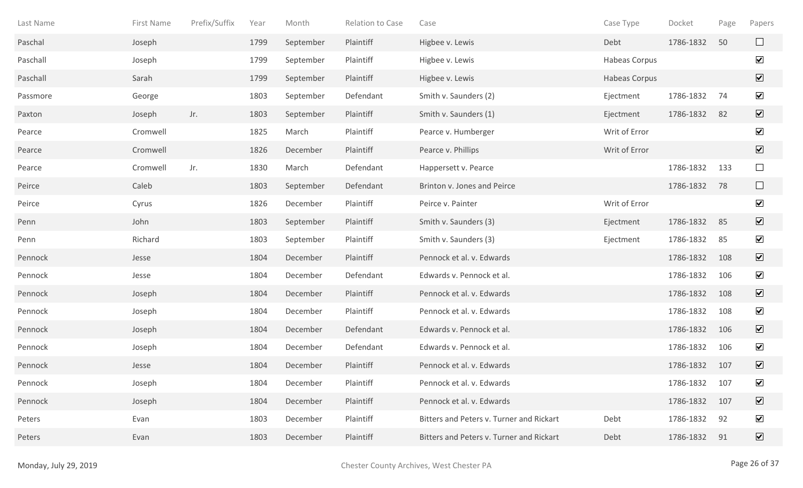| Last Name | First Name | Prefix/Suffix | Year | Month     | <b>Relation to Case</b> | Case                                     | Case Type            | Docket    | Page | Papers                       |
|-----------|------------|---------------|------|-----------|-------------------------|------------------------------------------|----------------------|-----------|------|------------------------------|
| Paschal   | Joseph     |               | 1799 | September | Plaintiff               | Higbee v. Lewis                          | Debt                 | 1786-1832 | 50   | $\Box$                       |
| Paschall  | Joseph     |               | 1799 | September | Plaintiff               | Higbee v. Lewis                          | Habeas Corpus        |           |      | $\blacktriangledown$         |
| Paschall  | Sarah      |               | 1799 | September | Plaintiff               | Higbee v. Lewis                          | <b>Habeas Corpus</b> |           |      | $\boxed{\blacktriangledown}$ |
| Passmore  | George     |               | 1803 | September | Defendant               | Smith v. Saunders (2)                    | Ejectment            | 1786-1832 | 74   | $\blacktriangledown$         |
| Paxton    | Joseph     | Jr.           | 1803 | September | Plaintiff               | Smith v. Saunders (1)                    | Ejectment            | 1786-1832 | 82   | $\boxed{\mathbf{v}}$         |
| Pearce    | Cromwell   |               | 1825 | March     | Plaintiff               | Pearce v. Humberger                      | Writ of Error        |           |      | $\blacktriangledown$         |
| Pearce    | Cromwell   |               | 1826 | December  | Plaintiff               | Pearce v. Phillips                       | Writ of Error        |           |      | $\boxed{\blacktriangledown}$ |
| Pearce    | Cromwell   | Jr.           | 1830 | March     | Defendant               | Happersett v. Pearce                     |                      | 1786-1832 | 133  | $\Box$                       |
| Peirce    | Caleb      |               | 1803 | September | Defendant               | Brinton v. Jones and Peirce              |                      | 1786-1832 | 78   | $\Box$                       |
| Peirce    | Cyrus      |               | 1826 | December  | Plaintiff               | Peirce v. Painter                        | Writ of Error        |           |      | $\blacktriangledown$         |
| Penn      | John       |               | 1803 | September | Plaintiff               | Smith v. Saunders (3)                    | Ejectment            | 1786-1832 | 85   | $\blacktriangledown$         |
| Penn      | Richard    |               | 1803 | September | Plaintiff               | Smith v. Saunders (3)                    | Ejectment            | 1786-1832 | 85   | $\blacktriangledown$         |
| Pennock   | Jesse      |               | 1804 | December  | Plaintiff               | Pennock et al. v. Edwards                |                      | 1786-1832 | 108  | $\overline{\mathbf{v}}$      |
| Pennock   | Jesse      |               | 1804 | December  | Defendant               | Edwards v. Pennock et al.                |                      | 1786-1832 | 106  | $\blacktriangledown$         |
| Pennock   | Joseph     |               | 1804 | December  | Plaintiff               | Pennock et al. v. Edwards                |                      | 1786-1832 | 108  | $\overline{\mathbf{v}}$      |
| Pennock   | Joseph     |               | 1804 | December  | Plaintiff               | Pennock et al. v. Edwards                |                      | 1786-1832 | 108  | $\blacktriangledown$         |
| Pennock   | Joseph     |               | 1804 | December  | Defendant               | Edwards v. Pennock et al.                |                      | 1786-1832 | 106  | $\overline{\mathbf{v}}$      |
| Pennock   | Joseph     |               | 1804 | December  | Defendant               | Edwards v. Pennock et al.                |                      | 1786-1832 | 106  | $\blacktriangledown$         |
| Pennock   | Jesse      |               | 1804 | December  | Plaintiff               | Pennock et al. v. Edwards                |                      | 1786-1832 | 107  | $\overline{\mathbf{v}}$      |
| Pennock   | Joseph     |               | 1804 | December  | Plaintiff               | Pennock et al. v. Edwards                |                      | 1786-1832 | 107  | $\blacktriangledown$         |
| Pennock   | Joseph     |               | 1804 | December  | Plaintiff               | Pennock et al. v. Edwards                |                      | 1786-1832 | 107  | $\boxed{\mathbf{v}}$         |
| Peters    | Evan       |               | 1803 | December  | Plaintiff               | Bitters and Peters v. Turner and Rickart | Debt                 | 1786-1832 | 92   | $\blacktriangledown$         |
| Peters    | Evan       |               | 1803 | December  | Plaintiff               | Bitters and Peters v. Turner and Rickart | Debt                 | 1786-1832 | 91   | $\boxed{\mathbf{v}}$         |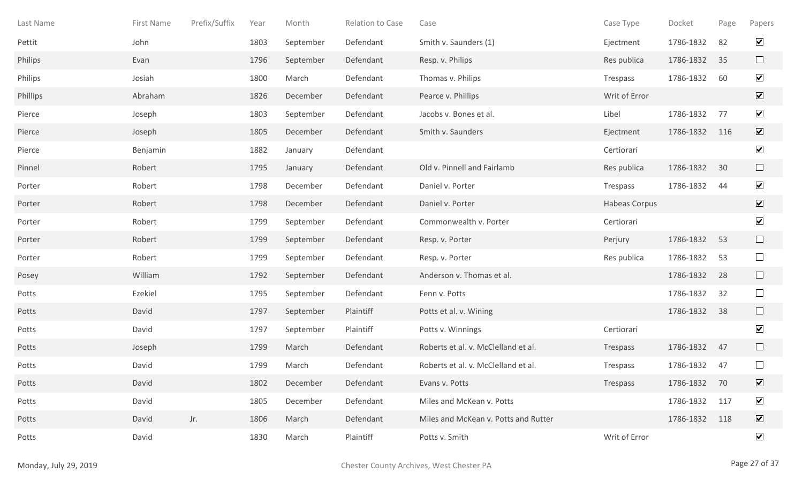| Last Name | First Name | Prefix/Suffix | Year | Month     | Relation to Case | Case                                 | Case Type     | Docket    | Page | Papers                  |
|-----------|------------|---------------|------|-----------|------------------|--------------------------------------|---------------|-----------|------|-------------------------|
| Pettit    | John       |               | 1803 | September | Defendant        | Smith v. Saunders (1)                | Ejectment     | 1786-1832 | 82   | $\blacktriangledown$    |
| Philips   | Evan       |               | 1796 | September | Defendant        | Resp. v. Philips                     | Res publica   | 1786-1832 | 35   | $\Box$                  |
| Philips   | Josiah     |               | 1800 | March     | Defendant        | Thomas v. Philips                    | Trespass      | 1786-1832 | 60   | $\blacktriangledown$    |
| Phillips  | Abraham    |               | 1826 | December  | Defendant        | Pearce v. Phillips                   | Writ of Error |           |      | $\overline{\mathbf{v}}$ |
| Pierce    | Joseph     |               | 1803 | September | Defendant        | Jacobs v. Bones et al.               | Libel         | 1786-1832 | 77   | $\blacktriangledown$    |
| Pierce    | Joseph     |               | 1805 | December  | Defendant        | Smith v. Saunders                    | Ejectment     | 1786-1832 | 116  | $\overline{\mathbf{v}}$ |
| Pierce    | Benjamin   |               | 1882 | January   | Defendant        |                                      | Certiorari    |           |      | $\blacktriangledown$    |
| Pinnel    | Robert     |               | 1795 | January   | Defendant        | Old v. Pinnell and Fairlamb          | Res publica   | 1786-1832 | 30   | $\Box$                  |
| Porter    | Robert     |               | 1798 | December  | Defendant        | Daniel v. Porter                     | Trespass      | 1786-1832 | 44   | $\blacktriangledown$    |
| Porter    | Robert     |               | 1798 | December  | Defendant        | Daniel v. Porter                     | Habeas Corpus |           |      | $\overline{\mathbf{v}}$ |
| Porter    | Robert     |               | 1799 | September | Defendant        | Commonwealth v. Porter               | Certiorari    |           |      | $\blacktriangledown$    |
| Porter    | Robert     |               | 1799 | September | Defendant        | Resp. v. Porter                      | Perjury       | 1786-1832 | 53   | $\Box$                  |
| Porter    | Robert     |               | 1799 | September | Defendant        | Resp. v. Porter                      | Res publica   | 1786-1832 | 53   | $\Box$                  |
| Posey     | William    |               | 1792 | September | Defendant        | Anderson v. Thomas et al.            |               | 1786-1832 | 28   | $\Box$                  |
| Potts     | Ezekiel    |               | 1795 | September | Defendant        | Fenn v. Potts                        |               | 1786-1832 | 32   | $\Box$                  |
| Potts     | David      |               | 1797 | September | Plaintiff        | Potts et al. v. Wining               |               | 1786-1832 | 38   | $\Box$                  |
| Potts     | David      |               | 1797 | September | Plaintiff        | Potts v. Winnings                    | Certiorari    |           |      | $\blacktriangledown$    |
| Potts     | Joseph     |               | 1799 | March     | Defendant        | Roberts et al. v. McClelland et al.  | Trespass      | 1786-1832 | 47   | $\Box$                  |
| Potts     | David      |               | 1799 | March     | Defendant        | Roberts et al. v. McClelland et al.  | Trespass      | 1786-1832 | 47   | $\Box$                  |
| Potts     | David      |               | 1802 | December  | Defendant        | Evans v. Potts                       | Trespass      | 1786-1832 | 70   | $\boxed{\mathbf{v}}$    |
| Potts     | David      |               | 1805 | December  | Defendant        | Miles and McKean v. Potts            |               | 1786-1832 | 117  | $\blacktriangledown$    |
| Potts     | David      | Jr.           | 1806 | March     | Defendant        | Miles and McKean v. Potts and Rutter |               | 1786-1832 | 118  | $\overline{\mathbf{v}}$ |
| Potts     | David      |               | 1830 | March     | Plaintiff        | Potts v. Smith                       | Writ of Error |           |      | $\blacktriangledown$    |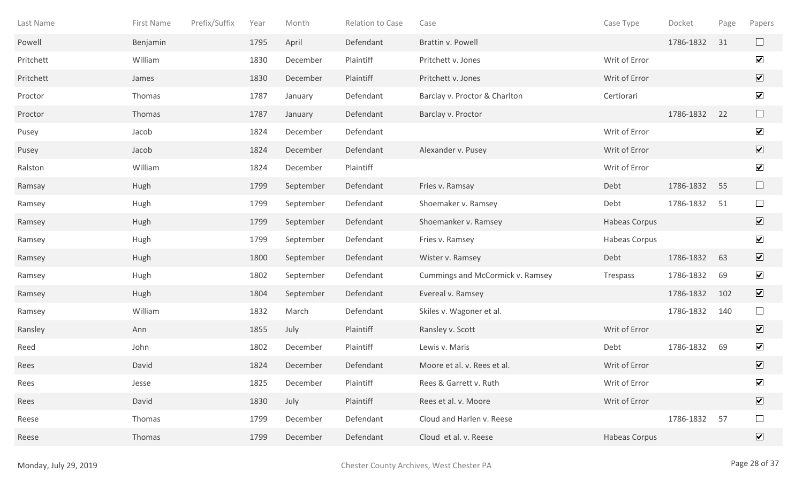| Last Name | First Name | Prefix/Suffix | Year | Month     | Relation to Case | Case                             | Case Type     | Docket    | Page | Papers                       |
|-----------|------------|---------------|------|-----------|------------------|----------------------------------|---------------|-----------|------|------------------------------|
| Powell    | Benjamin   |               | 1795 | April     | Defendant        | Brattin v. Powell                |               | 1786-1832 | 31   | $\Box$                       |
| Pritchett | William    |               | 1830 | December  | Plaintiff        | Pritchett v. Jones               | Writ of Error |           |      | $\blacktriangledown$         |
| Pritchett | James      |               | 1830 | December  | Plaintiff        | Pritchett v. Jones               | Writ of Error |           |      | $\overline{\mathbf{v}}$      |
| Proctor   | Thomas     |               | 1787 | January   | Defendant        | Barclay v. Proctor & Charlton    | Certiorari    |           |      | $\blacktriangledown$         |
| Proctor   | Thomas     |               | 1787 | January   | Defendant        | Barclay v. Proctor               |               | 1786-1832 | 22   | $\Box$                       |
| Pusey     | Jacob      |               | 1824 | December  | Defendant        |                                  | Writ of Error |           |      | $\blacktriangledown$         |
| Pusey     | Jacob      |               | 1824 | December  | Defendant        | Alexander v. Pusey               | Writ of Error |           |      | $\boxed{\blacktriangledown}$ |
| Ralston   | William    |               | 1824 | December  | Plaintiff        |                                  | Writ of Error |           |      | $\blacktriangledown$         |
| Ramsay    | Hugh       |               | 1799 | September | Defendant        | Fries v. Ramsay                  | Debt          | 1786-1832 | 55   | $\Box$                       |
| Ramsey    | Hugh       |               | 1799 | September | Defendant        | Shoemaker v. Ramsey              | Debt          | 1786-1832 | 51   | $\Box$                       |
| Ramsey    | Hugh       |               | 1799 | September | Defendant        | Shoemanker v. Ramsey             | Habeas Corpus |           |      | $\blacktriangledown$         |
| Ramsey    | Hugh       |               | 1799 | September | Defendant        | Fries v. Ramsey                  | Habeas Corpus |           |      | $\blacktriangledown$         |
| Ramsey    | Hugh       |               | 1800 | September | Defendant        | Wister v. Ramsey                 | Debt          | 1786-1832 | 63   | $\overline{\mathbf{v}}$      |
| Ramsey    | Hugh       |               | 1802 | September | Defendant        | Cummings and McCormick v. Ramsey | Trespass      | 1786-1832 | 69   | $\blacktriangledown$         |
| Ramsey    | Hugh       |               | 1804 | September | Defendant        | Evereal v. Ramsey                |               | 1786-1832 | 102  | $\overline{\mathbf{v}}$      |
| Ramsey    | William    |               | 1832 | March     | Defendant        | Skiles v. Wagoner et al.         |               | 1786-1832 | 140  | $\Box$                       |
| Ransley   | Ann        |               | 1855 | July      | Plaintiff        | Ransley v. Scott                 | Writ of Error |           |      | $\overline{\mathbf{v}}$      |
| Reed      | John       |               | 1802 | December  | Plaintiff        | Lewis v. Maris                   | Debt          | 1786-1832 | 69   | $\blacktriangledown$         |
| Rees      | David      |               | 1824 | December  | Defendant        | Moore et al. v. Rees et al.      | Writ of Error |           |      | $\overline{\mathbf{v}}$      |
| Rees      | Jesse      |               | 1825 | December  | Plaintiff        | Rees & Garrett v. Ruth           | Writ of Error |           |      | $\blacktriangledown$         |
| Rees      | David      |               | 1830 | July      | Plaintiff        | Rees et al. v. Moore             | Writ of Error |           |      | $\boxed{\blacktriangledown}$ |
| Reese     | Thomas     |               | 1799 | December  | Defendant        | Cloud and Harlen v. Reese        |               | 1786-1832 | 57   | $\Box$                       |
| Reese     | Thomas     |               | 1799 | December  | Defendant        | Cloud et al. v. Reese            | Habeas Corpus |           |      | $\overline{\mathbf{v}}$      |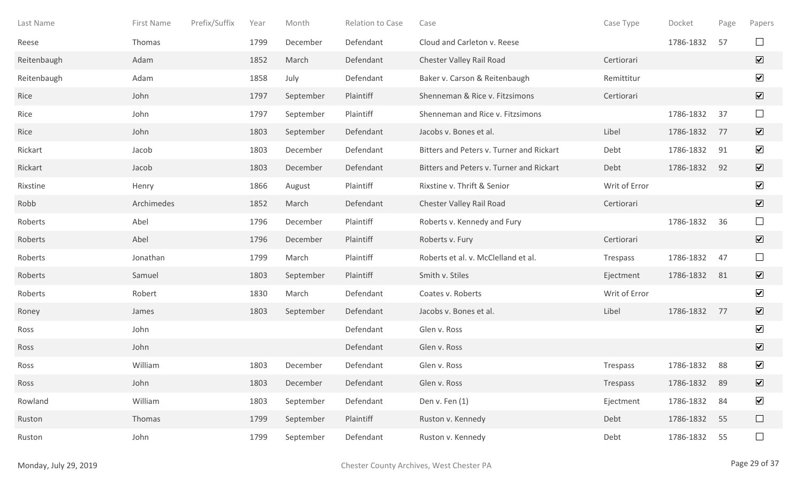| Last Name   | First Name | Prefix/Suffix | Year | Month     | <b>Relation to Case</b> | Case                                     | Case Type     | Docket    | Page | Papers                       |
|-------------|------------|---------------|------|-----------|-------------------------|------------------------------------------|---------------|-----------|------|------------------------------|
| Reese       | Thomas     |               | 1799 | December  | Defendant               | Cloud and Carleton v. Reese              |               | 1786-1832 | 57   | $\Box$                       |
| Reitenbaugh | Adam       |               | 1852 | March     | Defendant               | Chester Valley Rail Road                 | Certiorari    |           |      | $\overline{\mathbf{v}}$      |
| Reitenbaugh | Adam       |               | 1858 | July      | Defendant               | Baker v. Carson & Reitenbaugh            | Remittitur    |           |      | $\blacktriangledown$         |
| Rice        | John       |               | 1797 | September | Plaintiff               | Shenneman & Rice v. Fitzsimons           | Certiorari    |           |      | $\overline{\mathbf{v}}$      |
| Rice        | John       |               | 1797 | September | Plaintiff               | Shenneman and Rice v. Fitzsimons         |               | 1786-1832 | 37   | $\Box$                       |
| Rice        | John       |               | 1803 | September | Defendant               | Jacobs v. Bones et al.                   | Libel         | 1786-1832 | 77   | $\overline{\mathbf{v}}$      |
| Rickart     | Jacob      |               | 1803 | December  | Defendant               | Bitters and Peters v. Turner and Rickart | Debt          | 1786-1832 | 91   | $\blacktriangledown$         |
| Rickart     | Jacob      |               | 1803 | December  | Defendant               | Bitters and Peters v. Turner and Rickart | Debt          | 1786-1832 | 92   | $\overline{\mathbf{v}}$      |
| Rixstine    | Henry      |               | 1866 | August    | Plaintiff               | Rixstine v. Thrift & Senior              | Writ of Error |           |      | $\blacktriangledown$         |
| Robb        | Archimedes |               | 1852 | March     | Defendant               | Chester Valley Rail Road                 | Certiorari    |           |      | $\overline{\mathbf{v}}$      |
| Roberts     | Abel       |               | 1796 | December  | Plaintiff               | Roberts v. Kennedy and Fury              |               | 1786-1832 | 36   | $\Box$                       |
| Roberts     | Abel       |               | 1796 | December  | Plaintiff               | Roberts v. Fury                          | Certiorari    |           |      | $\overline{\mathbf{v}}$      |
| Roberts     | Jonathan   |               | 1799 | March     | Plaintiff               | Roberts et al. v. McClelland et al.      | Trespass      | 1786-1832 | 47   | $\Box$                       |
| Roberts     | Samuel     |               | 1803 | September | Plaintiff               | Smith v. Stiles                          | Ejectment     | 1786-1832 | 81   | $\overline{\mathbf{v}}$      |
| Roberts     | Robert     |               | 1830 | March     | Defendant               | Coates v. Roberts                        | Writ of Error |           |      | $\blacktriangledown$         |
| Roney       | James      |               | 1803 | September | Defendant               | Jacobs v. Bones et al.                   | Libel         | 1786-1832 | 77   | $\overline{\mathbf{v}}$      |
| Ross        | John       |               |      |           | Defendant               | Glen v. Ross                             |               |           |      | $\blacktriangledown$         |
| Ross        | John       |               |      |           | Defendant               | Glen v. Ross                             |               |           |      | $\overline{\mathbf{v}}$      |
| Ross        | William    |               | 1803 | December  | Defendant               | Glen v. Ross                             | Trespass      | 1786-1832 | 88   | $\blacktriangledown$         |
| Ross        | John       |               | 1803 | December  | Defendant               | Glen v. Ross                             | Trespass      | 1786-1832 | 89   | $\boxed{\blacktriangledown}$ |
| Rowland     | William    |               | 1803 | September | Defendant               | Den v. Fen (1)                           | Ejectment     | 1786-1832 | 84   | $\blacktriangledown$         |
| Ruston      | Thomas     |               | 1799 | September | Plaintiff               | Ruston v. Kennedy                        | Debt          | 1786-1832 | 55   | $\Box$                       |
| Ruston      | John       |               | 1799 | September | Defendant               | Ruston v. Kennedy                        | Debt          | 1786-1832 | 55   | $\Box$                       |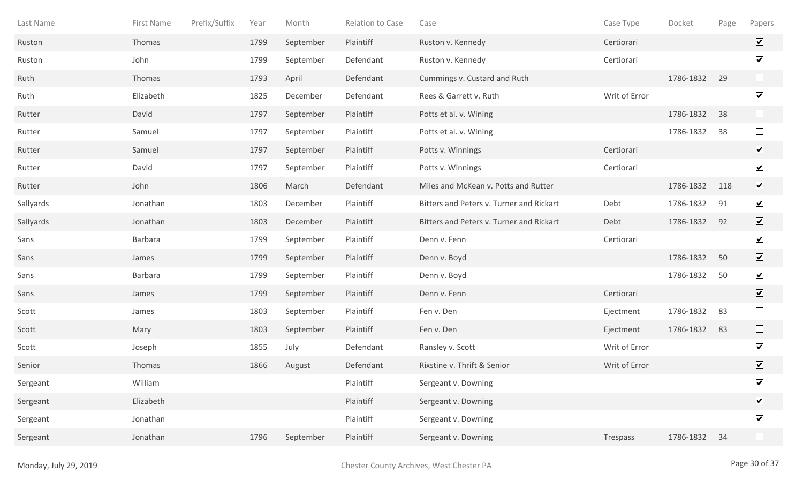| Last Name | First Name | Prefix/Suffix | Year | Month     | Relation to Case | Case                                     | Case Type     | Docket    | Page | Papers                       |
|-----------|------------|---------------|------|-----------|------------------|------------------------------------------|---------------|-----------|------|------------------------------|
| Ruston    | Thomas     |               | 1799 | September | Plaintiff        | Ruston v. Kennedy                        | Certiorari    |           |      | $\overline{\mathbf{v}}$      |
| Ruston    | John       |               | 1799 | September | Defendant        | Ruston v. Kennedy                        | Certiorari    |           |      | $\blacktriangledown$         |
| Ruth      | Thomas     |               | 1793 | April     | Defendant        | Cummings v. Custard and Ruth             |               | 1786-1832 | 29   | $\Box$                       |
| Ruth      | Elizabeth  |               | 1825 | December  | Defendant        | Rees & Garrett v. Ruth                   | Writ of Error |           |      | $\blacktriangledown$         |
| Rutter    | David      |               | 1797 | September | Plaintiff        | Potts et al. v. Wining                   |               | 1786-1832 | 38   | $\Box$                       |
| Rutter    | Samuel     |               | 1797 | September | Plaintiff        | Potts et al. v. Wining                   |               | 1786-1832 | 38   | $\Box$                       |
| Rutter    | Samuel     |               | 1797 | September | Plaintiff        | Potts v. Winnings                        | Certiorari    |           |      | $\overline{\mathbf{v}}$      |
| Rutter    | David      |               | 1797 | September | Plaintiff        | Potts v. Winnings                        | Certiorari    |           |      | $\blacktriangledown$         |
| Rutter    | John       |               | 1806 | March     | Defendant        | Miles and McKean v. Potts and Rutter     |               | 1786-1832 | 118  | $\overline{\mathbf{v}}$      |
| Sallyards | Jonathan   |               | 1803 | December  | Plaintiff        | Bitters and Peters v. Turner and Rickart | Debt          | 1786-1832 | 91   | $\blacktriangledown$         |
| Sallyards | Jonathan   |               | 1803 | December  | Plaintiff        | Bitters and Peters v. Turner and Rickart | Debt          | 1786-1832 | 92   | $\overline{\mathbf{v}}$      |
| Sans      | Barbara    |               | 1799 | September | Plaintiff        | Denn v. Fenn                             | Certiorari    |           |      | $\overline{\mathbf{v}}$      |
| Sans      | James      |               | 1799 | September | Plaintiff        | Denn v. Boyd                             |               | 1786-1832 | 50   | $\overline{\mathbf{v}}$      |
| Sans      | Barbara    |               | 1799 | September | Plaintiff        | Denn v. Boyd                             |               | 1786-1832 | 50   | $\blacktriangledown$         |
| Sans      | James      |               | 1799 | September | Plaintiff        | Denn v. Fenn                             | Certiorari    |           |      | $\overline{\mathbf{v}}$      |
| Scott     | James      |               | 1803 | September | Plaintiff        | Fen v. Den                               | Ejectment     | 1786-1832 | 83   | $\Box$                       |
| Scott     | Mary       |               | 1803 | September | Plaintiff        | Fen v. Den                               | Ejectment     | 1786-1832 | 83   | $\Box$                       |
| Scott     | Joseph     |               | 1855 | July      | Defendant        | Ransley v. Scott                         | Writ of Error |           |      | $\blacktriangledown$         |
| Senior    | Thomas     |               | 1866 | August    | Defendant        | Rixstine v. Thrift & Senior              | Writ of Error |           |      | $\overline{\mathbf{v}}$      |
| Sergeant  | William    |               |      |           | Plaintiff        | Sergeant v. Downing                      |               |           |      | $\blacktriangledown$         |
| Sergeant  | Elizabeth  |               |      |           | Plaintiff        | Sergeant v. Downing                      |               |           |      | $\boxed{\blacktriangledown}$ |
| Sergeant  | Jonathan   |               |      |           | Plaintiff        | Sergeant v. Downing                      |               |           |      | $\blacktriangledown$         |
| Sergeant  | Jonathan   |               | 1796 | September | Plaintiff        | Sergeant v. Downing                      | Trespass      | 1786-1832 | 34   | $\Box$                       |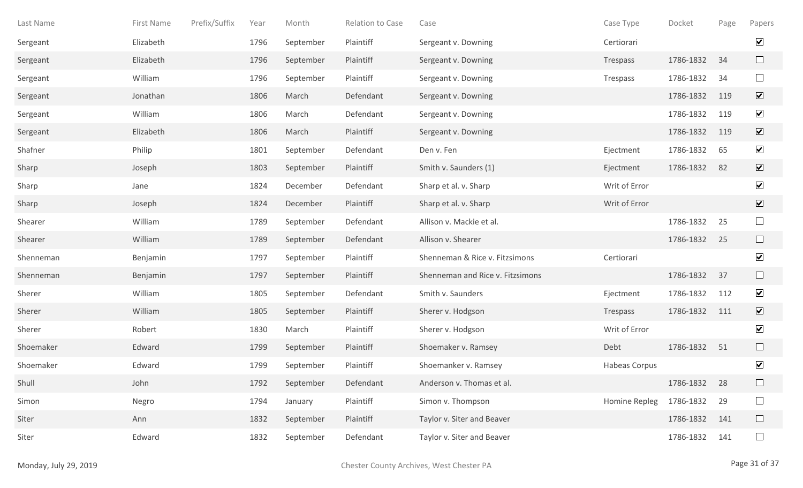| Last Name | First Name | Prefix/Suffix | Year | Month     | Relation to Case | Case                             | Case Type     | Docket    | Page | Papers                  |
|-----------|------------|---------------|------|-----------|------------------|----------------------------------|---------------|-----------|------|-------------------------|
| Sergeant  | Elizabeth  |               | 1796 | September | Plaintiff        | Sergeant v. Downing              | Certiorari    |           |      | $\blacktriangledown$    |
| Sergeant  | Elizabeth  |               | 1796 | September | Plaintiff        | Sergeant v. Downing              | Trespass      | 1786-1832 | 34   | $\Box$                  |
| Sergeant  | William    |               | 1796 | September | Plaintiff        | Sergeant v. Downing              | Trespass      | 1786-1832 | 34   | $\Box$                  |
| Sergeant  | Jonathan   |               | 1806 | March     | Defendant        | Sergeant v. Downing              |               | 1786-1832 | 119  | $\overline{\mathbf{v}}$ |
| Sergeant  | William    |               | 1806 | March     | Defendant        | Sergeant v. Downing              |               | 1786-1832 | 119  | $\blacktriangledown$    |
| Sergeant  | Elizabeth  |               | 1806 | March     | Plaintiff        | Sergeant v. Downing              |               | 1786-1832 | 119  | $\overline{\mathbf{v}}$ |
| Shafner   | Philip     |               | 1801 | September | Defendant        | Den v. Fen                       | Ejectment     | 1786-1832 | 65   | $\blacktriangledown$    |
| Sharp     | Joseph     |               | 1803 | September | Plaintiff        | Smith v. Saunders (1)            | Ejectment     | 1786-1832 | 82   | $\sqrt{}$               |
| Sharp     | Jane       |               | 1824 | December  | Defendant        | Sharp et al. v. Sharp            | Writ of Error |           |      | $\blacktriangledown$    |
| Sharp     | Joseph     |               | 1824 | December  | Plaintiff        | Sharp et al. v. Sharp            | Writ of Error |           |      | $\overline{\mathbf{v}}$ |
| Shearer   | William    |               | 1789 | September | Defendant        | Allison v. Mackie et al.         |               | 1786-1832 | 25   | $\Box$                  |
| Shearer   | William    |               | 1789 | September | Defendant        | Allison v. Shearer               |               | 1786-1832 | 25   | $\Box$                  |
| Shenneman | Benjamin   |               | 1797 | September | Plaintiff        | Shenneman & Rice v. Fitzsimons   | Certiorari    |           |      | $\blacktriangledown$    |
| Shenneman | Benjamin   |               | 1797 | September | Plaintiff        | Shenneman and Rice v. Fitzsimons |               | 1786-1832 | 37   | $\Box$                  |
| Sherer    | William    |               | 1805 | September | Defendant        | Smith v. Saunders                | Ejectment     | 1786-1832 | 112  | $\blacktriangledown$    |
| Sherer    | William    |               | 1805 | September | Plaintiff        | Sherer v. Hodgson                | Trespass      | 1786-1832 | 111  | $\overline{\mathbf{v}}$ |
| Sherer    | Robert     |               | 1830 | March     | Plaintiff        | Sherer v. Hodgson                | Writ of Error |           |      | $\blacktriangledown$    |
| Shoemaker | Edward     |               | 1799 | September | Plaintiff        | Shoemaker v. Ramsey              | Debt          | 1786-1832 | 51   | $\Box$                  |
| Shoemaker | Edward     |               | 1799 | September | Plaintiff        | Shoemanker v. Ramsey             | Habeas Corpus |           |      | $\blacktriangledown$    |
| Shull     | John       |               | 1792 | September | Defendant        | Anderson v. Thomas et al.        |               | 1786-1832 | 28   | $\Box$                  |
| Simon     | Negro      |               | 1794 | January   | Plaintiff        | Simon v. Thompson                | Homine Repleg | 1786-1832 | 29   | $\Box$                  |
| Siter     | Ann        |               | 1832 | September | Plaintiff        | Taylor v. Siter and Beaver       |               | 1786-1832 | 141  | $\Box$                  |
| Siter     | Edward     |               | 1832 | September | Defendant        | Taylor v. Siter and Beaver       |               | 1786-1832 | 141  | $\Box$                  |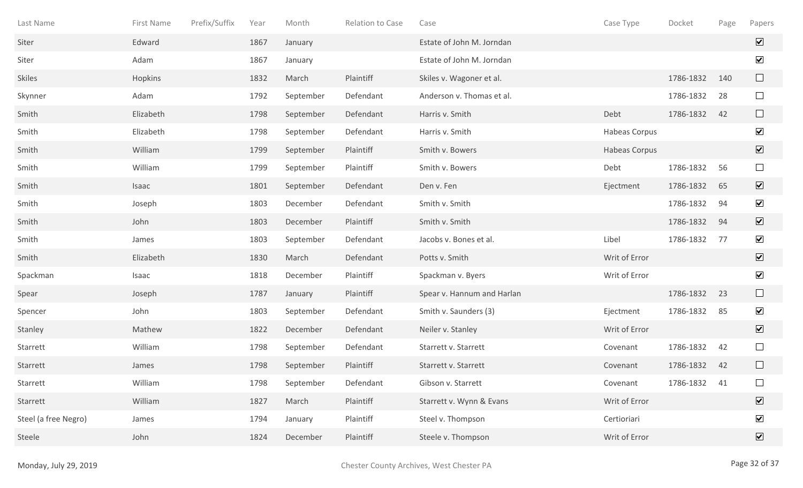| Last Name            | First Name | Prefix/Suffix | Year | Month     | Relation to Case | Case                       | Case Type     | Docket    | Page | Papers                       |
|----------------------|------------|---------------|------|-----------|------------------|----------------------------|---------------|-----------|------|------------------------------|
| Siter                | Edward     |               | 1867 | January   |                  | Estate of John M. Jorndan  |               |           |      | $\overline{\mathbf{v}}$      |
| Siter                | Adam       |               | 1867 | January   |                  | Estate of John M. Jorndan  |               |           |      | $\blacktriangledown$         |
| <b>Skiles</b>        | Hopkins    |               | 1832 | March     | Plaintiff        | Skiles v. Wagoner et al.   |               | 1786-1832 | 140  | $\Box$                       |
| Skynner              | Adam       |               | 1792 | September | Defendant        | Anderson v. Thomas et al.  |               | 1786-1832 | 28   | $\Box$                       |
| Smith                | Elizabeth  |               | 1798 | September | Defendant        | Harris v. Smith            | Debt          | 1786-1832 | 42   | $\Box$                       |
| Smith                | Elizabeth  |               | 1798 | September | Defendant        | Harris v. Smith            | Habeas Corpus |           |      | $\blacktriangledown$         |
| Smith                | William    |               | 1799 | September | Plaintiff        | Smith v. Bowers            | Habeas Corpus |           |      | $\boxed{\blacktriangledown}$ |
| Smith                | William    |               | 1799 | September | Plaintiff        | Smith v. Bowers            | Debt          | 1786-1832 | 56   | $\Box$                       |
| Smith                | Isaac      |               | 1801 | September | Defendant        | Den v. Fen                 | Ejectment     | 1786-1832 | 65   | $\boxed{\mathbf{v}}$         |
| Smith                | Joseph     |               | 1803 | December  | Defendant        | Smith v. Smith             |               | 1786-1832 | 94   | $\blacktriangledown$         |
| Smith                | John       |               | 1803 | December  | Plaintiff        | Smith v. Smith             |               | 1786-1832 | 94   | $\overline{\mathbf{v}}$      |
| Smith                | James      |               | 1803 | September | Defendant        | Jacobs v. Bones et al.     | Libel         | 1786-1832 | 77   | $\overline{\mathbf{v}}$      |
| Smith                | Elizabeth  |               | 1830 | March     | Defendant        | Potts v. Smith             | Writ of Error |           |      | $\blacktriangledown$         |
| Spackman             | Isaac      |               | 1818 | December  | Plaintiff        | Spackman v. Byers          | Writ of Error |           |      | $\blacktriangledown$         |
| Spear                | Joseph     |               | 1787 | January   | Plaintiff        | Spear v. Hannum and Harlan |               | 1786-1832 | 23   | $\Box$                       |
| Spencer              | John       |               | 1803 | September | Defendant        | Smith v. Saunders (3)      | Ejectment     | 1786-1832 | 85   | $\blacktriangledown$         |
| Stanley              | Mathew     |               | 1822 | December  | Defendant        | Neiler v. Stanley          | Writ of Error |           |      | $\boxed{\mathbf{v}}$         |
| Starrett             | William    |               | 1798 | September | Defendant        | Starrett v. Starrett       | Covenant      | 1786-1832 | 42   | $\Box$                       |
| Starrett             | James      |               | 1798 | September | Plaintiff        | Starrett v. Starrett       | Covenant      | 1786-1832 | 42   | $\Box$                       |
| Starrett             | William    |               | 1798 | September | Defendant        | Gibson v. Starrett         | Covenant      | 1786-1832 | 41   | $\Box$                       |
| Starrett             | William    |               | 1827 | March     | Plaintiff        | Starrett v. Wynn & Evans   | Writ of Error |           |      | $\overline{\mathbf{v}}$      |
| Steel (a free Negro) | James      |               | 1794 | January   | Plaintiff        | Steel v. Thompson          | Certioriari   |           |      | $\blacktriangledown$         |
| Steele               | John       |               | 1824 | December  | Plaintiff        | Steele v. Thompson         | Writ of Error |           |      | $\boxed{\blacktriangledown}$ |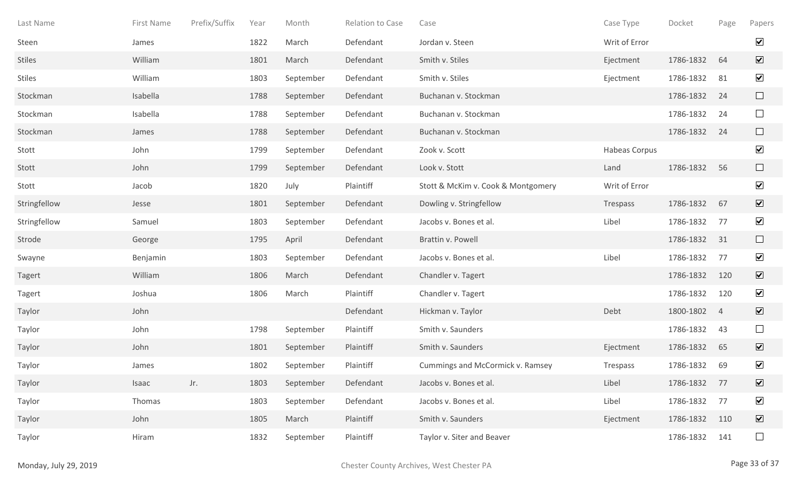| Last Name     | First Name | Prefix/Suffix | Year | Month     | Relation to Case | Case                               | Case Type     | Docket    | Page           | Papers                       |
|---------------|------------|---------------|------|-----------|------------------|------------------------------------|---------------|-----------|----------------|------------------------------|
| Steen         | James      |               | 1822 | March     | Defendant        | Jordan v. Steen                    | Writ of Error |           |                | $\blacktriangledown$         |
| <b>Stiles</b> | William    |               | 1801 | March     | Defendant        | Smith v. Stiles                    | Ejectment     | 1786-1832 | 64             | $\overline{\mathbf{v}}$      |
| <b>Stiles</b> | William    |               | 1803 | September | Defendant        | Smith v. Stiles                    | Ejectment     | 1786-1832 | 81             | $\blacktriangledown$         |
| Stockman      | Isabella   |               | 1788 | September | Defendant        | Buchanan v. Stockman               |               | 1786-1832 | 24             | $\Box$                       |
| Stockman      | Isabella   |               | 1788 | September | Defendant        | Buchanan v. Stockman               |               | 1786-1832 | 24             | $\Box$                       |
| Stockman      | James      |               | 1788 | September | Defendant        | Buchanan v. Stockman               |               | 1786-1832 | 24             | $\Box$                       |
| Stott         | John       |               | 1799 | September | Defendant        | Zook v. Scott                      | Habeas Corpus |           |                | $\blacktriangledown$         |
| Stott         | John       |               | 1799 | September | Defendant        | Look v. Stott                      | Land          | 1786-1832 | 56             | $\Box$                       |
| Stott         | Jacob      |               | 1820 | July      | Plaintiff        | Stott & McKim v. Cook & Montgomery | Writ of Error |           |                | $\blacktriangledown$         |
| Stringfellow  | Jesse      |               | 1801 | September | Defendant        | Dowling v. Stringfellow            | Trespass      | 1786-1832 | 67             | $\overline{\mathbf{v}}$      |
| Stringfellow  | Samuel     |               | 1803 | September | Defendant        | Jacobs v. Bones et al.             | Libel         | 1786-1832 | 77             | $\blacktriangledown$         |
| Strode        | George     |               | 1795 | April     | Defendant        | Brattin v. Powell                  |               | 1786-1832 | 31             | $\Box$                       |
| Swayne        | Benjamin   |               | 1803 | September | Defendant        | Jacobs v. Bones et al.             | Libel         | 1786-1832 | 77             | $\blacktriangledown$         |
| Tagert        | William    |               | 1806 | March     | Defendant        | Chandler v. Tagert                 |               | 1786-1832 | 120            | $\overline{\mathbf{v}}$      |
| <b>Tagert</b> | Joshua     |               | 1806 | March     | Plaintiff        | Chandler v. Tagert                 |               | 1786-1832 | 120            | $\blacktriangledown$         |
| Taylor        | John       |               |      |           | Defendant        | Hickman v. Taylor                  | Debt          | 1800-1802 | $\overline{4}$ | $\overline{\mathbf{v}}$      |
| Taylor        | John       |               | 1798 | September | Plaintiff        | Smith v. Saunders                  |               | 1786-1832 | 43             | $\Box$                       |
| Taylor        | John       |               | 1801 | September | Plaintiff        | Smith v. Saunders                  | Ejectment     | 1786-1832 | 65             | $\overline{\mathbf{v}}$      |
| Taylor        | James      |               | 1802 | September | Plaintiff        | Cummings and McCormick v. Ramsey   | Trespass      | 1786-1832 | 69             | $\blacktriangledown$         |
| Taylor        | Isaac      | Jr.           | 1803 | September | Defendant        | Jacobs v. Bones et al.             | Libel         | 1786-1832 | 77             | $\boxed{\mathbf{v}}$         |
| Taylor        | Thomas     |               | 1803 | September | Defendant        | Jacobs v. Bones et al.             | Libel         | 1786-1832 | 77             | $\blacktriangledown$         |
| Taylor        | John       |               | 1805 | March     | Plaintiff        | Smith v. Saunders                  | Ejectment     | 1786-1832 | 110            | $\boxed{\blacktriangledown}$ |
| Taylor        | Hiram      |               | 1832 | September | Plaintiff        | Taylor v. Siter and Beaver         |               | 1786-1832 | 141            | $\Box$                       |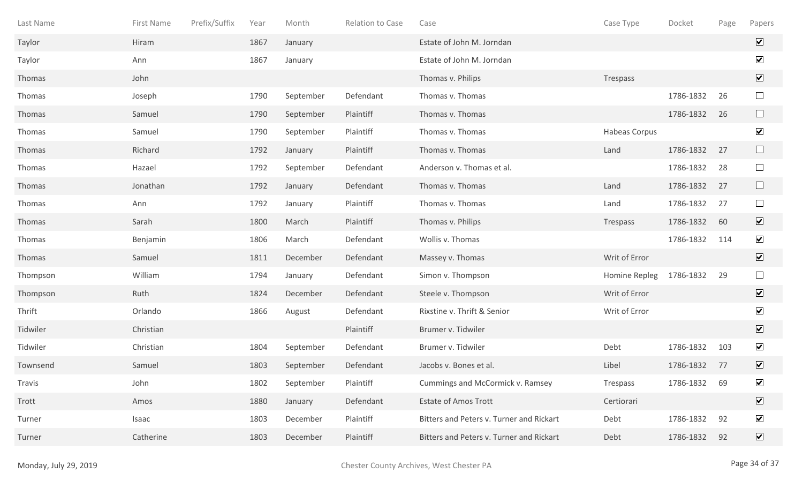| Last Name | First Name | Prefix/Suffix | Year | Month     | Relation to Case | Case                                     | Case Type     | Docket    | Page | Papers                       |
|-----------|------------|---------------|------|-----------|------------------|------------------------------------------|---------------|-----------|------|------------------------------|
| Taylor    | Hiram      |               | 1867 | January   |                  | Estate of John M. Jorndan                |               |           |      | $\overline{\mathbf{v}}$      |
| Taylor    | Ann        |               | 1867 | January   |                  | Estate of John M. Jorndan                |               |           |      | $\blacktriangledown$         |
| Thomas    | John       |               |      |           |                  | Thomas v. Philips                        | Trespass      |           |      | $\boxed{\blacktriangledown}$ |
| Thomas    | Joseph     |               | 1790 | September | Defendant        | Thomas v. Thomas                         |               | 1786-1832 | 26   | $\Box$                       |
| Thomas    | Samuel     |               | 1790 | September | Plaintiff        | Thomas v. Thomas                         |               | 1786-1832 | 26   | $\Box$                       |
| Thomas    | Samuel     |               | 1790 | September | Plaintiff        | Thomas v. Thomas                         | Habeas Corpus |           |      | $\blacktriangledown$         |
| Thomas    | Richard    |               | 1792 | January   | Plaintiff        | Thomas v. Thomas                         | Land          | 1786-1832 | 27   | $\Box$                       |
| Thomas    | Hazael     |               | 1792 | September | Defendant        | Anderson v. Thomas et al.                |               | 1786-1832 | 28   | $\Box$                       |
| Thomas    | Jonathan   |               | 1792 | January   | Defendant        | Thomas v. Thomas                         | Land          | 1786-1832 | 27   | $\Box$                       |
| Thomas    | Ann        |               | 1792 | January   | Plaintiff        | Thomas v. Thomas                         | Land          | 1786-1832 | 27   | $\Box$                       |
| Thomas    | Sarah      |               | 1800 | March     | Plaintiff        | Thomas v. Philips                        | Trespass      | 1786-1832 | 60   | $\blacktriangledown$         |
| Thomas    | Benjamin   |               | 1806 | March     | Defendant        | Wollis v. Thomas                         |               | 1786-1832 | 114  | $\overline{\mathbf{v}}$      |
| Thomas    | Samuel     |               | 1811 | December  | Defendant        | Massey v. Thomas                         | Writ of Error |           |      | $\overline{\mathbf{v}}$      |
| Thompson  | William    |               | 1794 | January   | Defendant        | Simon v. Thompson                        | Homine Repleg | 1786-1832 | 29   | $\Box$                       |
| Thompson  | Ruth       |               | 1824 | December  | Defendant        | Steele v. Thompson                       | Writ of Error |           |      | $\overline{\mathbf{v}}$      |
| Thrift    | Orlando    |               | 1866 | August    | Defendant        | Rixstine v. Thrift & Senior              | Writ of Error |           |      | $\blacktriangledown$         |
| Tidwiler  | Christian  |               |      |           | Plaintiff        | Brumer v. Tidwiler                       |               |           |      | $\boxed{\blacktriangledown}$ |
| Tidwiler  | Christian  |               | 1804 | September | Defendant        | Brumer v. Tidwiler                       | Debt          | 1786-1832 | 103  | $\blacktriangledown$         |
| Townsend  | Samuel     |               | 1803 | September | Defendant        | Jacobs v. Bones et al.                   | Libel         | 1786-1832 | 77   | $\boxed{\blacktriangledown}$ |
| Travis    | John       |               | 1802 | September | Plaintiff        | Cummings and McCormick v. Ramsey         | Trespass      | 1786-1832 | 69   | $\blacktriangledown$         |
| Trott     | Amos       |               | 1880 | January   | Defendant        | <b>Estate of Amos Trott</b>              | Certiorari    |           |      | $\boxed{\mathbf{v}}$         |
| Turner    | Isaac      |               | 1803 | December  | Plaintiff        | Bitters and Peters v. Turner and Rickart | Debt          | 1786-1832 | 92   | $\blacktriangledown$         |
| Turner    | Catherine  |               | 1803 | December  | Plaintiff        | Bitters and Peters v. Turner and Rickart | Debt          | 1786-1832 | 92   | $\boxed{\mathbf{v}}$         |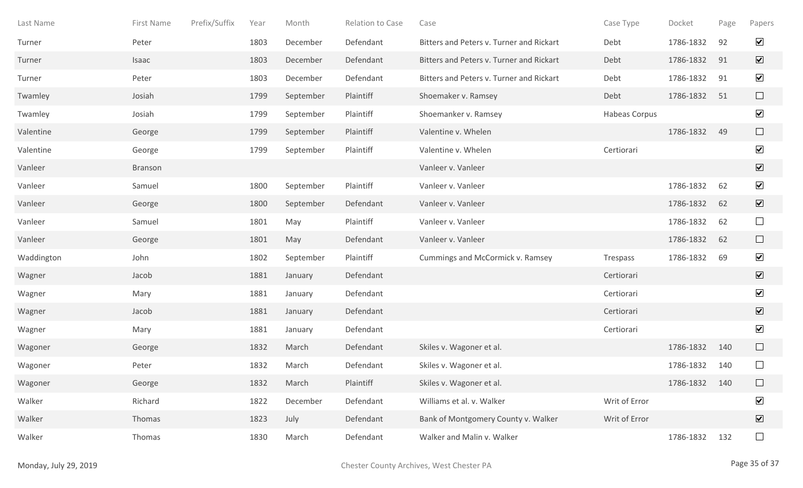| Last Name  | First Name | Prefix/Suffix | Year | Month     | Relation to Case | Case                                     | Case Type     | Docket    | Page | Papers                                |
|------------|------------|---------------|------|-----------|------------------|------------------------------------------|---------------|-----------|------|---------------------------------------|
| Turner     | Peter      |               | 1803 | December  | Defendant        | Bitters and Peters v. Turner and Rickart | Debt          | 1786-1832 | 92   | $\blacktriangledown$                  |
| Turner     | Isaac      |               | 1803 | December  | Defendant        | Bitters and Peters v. Turner and Rickart | Debt          | 1786-1832 | 91   | $\boxed{\mathbf{v}}$                  |
| Turner     | Peter      |               | 1803 | December  | Defendant        | Bitters and Peters v. Turner and Rickart | Debt          | 1786-1832 | 91   | $\blacktriangledown$                  |
| Twamley    | Josiah     |               | 1799 | September | Plaintiff        | Shoemaker v. Ramsey                      | Debt          | 1786-1832 | 51   | $\Box$                                |
| Twamley    | Josiah     |               | 1799 | September | Plaintiff        | Shoemanker v. Ramsey                     | Habeas Corpus |           |      | $\blacktriangledown$                  |
| Valentine  | George     |               | 1799 | September | Plaintiff        | Valentine v. Whelen                      |               | 1786-1832 | 49   | $\Box$                                |
| Valentine  | George     |               | 1799 | September | Plaintiff        | Valentine v. Whelen                      | Certiorari    |           |      | $\blacktriangledown$                  |
| Vanleer    | Branson    |               |      |           |                  | Vanleer v. Vanleer                       |               |           |      | $\boxed{\blacktriangledown}$          |
| Vanleer    | Samuel     |               | 1800 | September | Plaintiff        | Vanleer v. Vanleer                       |               | 1786-1832 | 62   | $\blacktriangledown$                  |
| Vanleer    | George     |               | 1800 | September | Defendant        | Vanleer v. Vanleer                       |               | 1786-1832 | 62   | $\boxed{\blacktriangledown}$          |
| Vanleer    | Samuel     |               | 1801 | May       | Plaintiff        | Vanleer v. Vanleer                       |               | 1786-1832 | 62   | $\Box$                                |
| Vanleer    | George     |               | 1801 | May       | Defendant        | Vanleer v. Vanleer                       |               | 1786-1832 | 62   | $\Box$                                |
| Waddington | John       |               | 1802 | September | Plaintiff        | Cummings and McCormick v. Ramsey         | Trespass      | 1786-1832 | 69   | $\blacktriangledown$                  |
| Wagner     | Jacob      |               | 1881 | January   | Defendant        |                                          | Certiorari    |           |      | $\overline{\mathbf{v}}$               |
| Wagner     | Mary       |               | 1881 | January   | Defendant        |                                          | Certiorari    |           |      | $\blacktriangledown$                  |
| Wagner     | Jacob      |               | 1881 | January   | Defendant        |                                          | Certiorari    |           |      | $\blacktriangledown$                  |
| Wagner     | Mary       |               | 1881 | January   | Defendant        |                                          | Certiorari    |           |      | $\blacktriangledown$                  |
| Wagoner    | George     |               | 1832 | March     | Defendant        | Skiles v. Wagoner et al.                 |               | 1786-1832 | 140  | $\begin{array}{c} \hline \end{array}$ |
| Wagoner    | Peter      |               | 1832 | March     | Defendant        | Skiles v. Wagoner et al.                 |               | 1786-1832 | 140  |                                       |
| Wagoner    | George     |               | 1832 | March     | Plaintiff        | Skiles v. Wagoner et al.                 |               | 1786-1832 | 140  | $\Box$                                |
| Walker     | Richard    |               | 1822 | December  | Defendant        | Williams et al. v. Walker                | Writ of Error |           |      | $\blacktriangledown$                  |
| Walker     | Thomas     |               | 1823 | July      | Defendant        | Bank of Montgomery County v. Walker      | Writ of Error |           |      | $\overline{\mathbf{v}}$               |
| Walker     | Thomas     |               | 1830 | March     | Defendant        | Walker and Malin v. Walker               |               | 1786-1832 | 132  | $\Box$                                |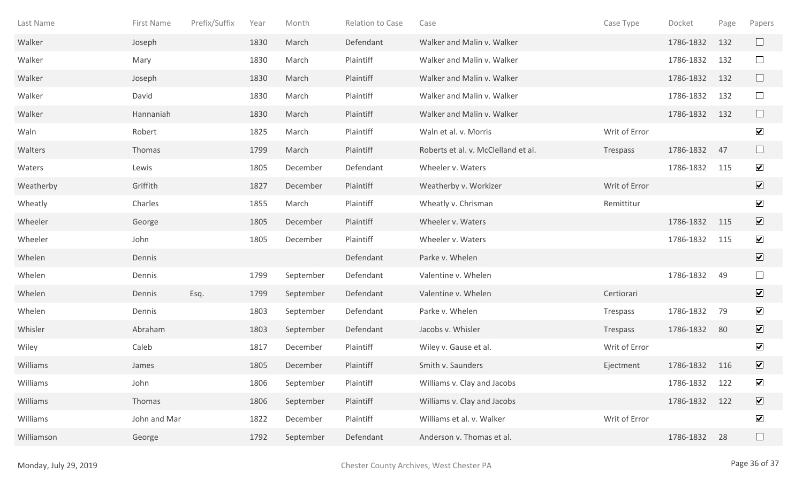| Last Name  | First Name   | Prefix/Suffix | Year | Month     | Relation to Case | Case                                | Case Type     | Docket    | Page | Papers                  |
|------------|--------------|---------------|------|-----------|------------------|-------------------------------------|---------------|-----------|------|-------------------------|
| Walker     | Joseph       |               | 1830 | March     | Defendant        | Walker and Malin v. Walker          |               | 1786-1832 | 132  | $\Box$                  |
| Walker     | Mary         |               | 1830 | March     | Plaintiff        | Walker and Malin v. Walker          |               | 1786-1832 | 132  | $\Box$                  |
| Walker     | Joseph       |               | 1830 | March     | Plaintiff        | Walker and Malin v. Walker          |               | 1786-1832 | 132  | $\Box$                  |
| Walker     | David        |               | 1830 | March     | Plaintiff        | Walker and Malin v. Walker          |               | 1786-1832 | 132  | $\Box$                  |
| Walker     | Hannaniah    |               | 1830 | March     | Plaintiff        | Walker and Malin v. Walker          |               | 1786-1832 | 132  | $\Box$                  |
| Waln       | Robert       |               | 1825 | March     | Plaintiff        | Waln et al. v. Morris               | Writ of Error |           |      | $\blacktriangledown$    |
| Walters    | Thomas       |               | 1799 | March     | Plaintiff        | Roberts et al. v. McClelland et al. | Trespass      | 1786-1832 | 47   | $\Box$                  |
| Waters     | Lewis        |               | 1805 | December  | Defendant        | Wheeler v. Waters                   |               | 1786-1832 | 115  | $\blacktriangledown$    |
| Weatherby  | Griffith     |               | 1827 | December  | Plaintiff        | Weatherby v. Workizer               | Writ of Error |           |      | $\boxed{\mathbf{v}}$    |
| Wheatly    | Charles      |               | 1855 | March     | Plaintiff        | Wheatly v. Chrisman                 | Remittitur    |           |      | $\blacktriangledown$    |
| Wheeler    | George       |               | 1805 | December  | Plaintiff        | Wheeler v. Waters                   |               | 1786-1832 | 115  | $\sqrt{ }$              |
| Wheeler    | John         |               | 1805 | December  | Plaintiff        | Wheeler v. Waters                   |               | 1786-1832 | 115  | $\overline{\mathbf{v}}$ |
| Whelen     | Dennis       |               |      |           | Defendant        | Parke v. Whelen                     |               |           |      | $\overline{\mathbf{v}}$ |
| Whelen     | Dennis       |               | 1799 | September | Defendant        | Valentine v. Whelen                 |               | 1786-1832 | 49   | $\Box$                  |
| Whelen     | Dennis       | Esq.          | 1799 | September | Defendant        | Valentine v. Whelen                 | Certiorari    |           |      | $\sqrt{ }$              |
| Whelen     | Dennis       |               | 1803 | September | Defendant        | Parke v. Whelen                     | Trespass      | 1786-1832 | 79   | $\blacktriangledown$    |
| Whisler    | Abraham      |               | 1803 | September | Defendant        | Jacobs v. Whisler                   | Trespass      | 1786-1832 | 80   | $\overline{\mathbf{v}}$ |
| Wiley      | Caleb        |               | 1817 | December  | Plaintiff        | Wiley v. Gause et al.               | Writ of Error |           |      | $\blacktriangledown$    |
| Williams   | James        |               | 1805 | December  | Plaintiff        | Smith v. Saunders                   | Ejectment     | 1786-1832 | 116  | $\overline{\mathbf{v}}$ |
| Williams   | John         |               | 1806 | September | Plaintiff        | Williams v. Clay and Jacobs         |               | 1786-1832 | 122  | $\blacktriangledown$    |
| Williams   | Thomas       |               | 1806 | September | Plaintiff        | Williams v. Clay and Jacobs         |               | 1786-1832 | 122  | $\overline{\mathbf{v}}$ |
| Williams   | John and Mar |               | 1822 | December  | Plaintiff        | Williams et al. v. Walker           | Writ of Error |           |      | $\blacktriangledown$    |
| Williamson | George       |               | 1792 | September | Defendant        | Anderson v. Thomas et al.           |               | 1786-1832 | 28   | $\Box$                  |